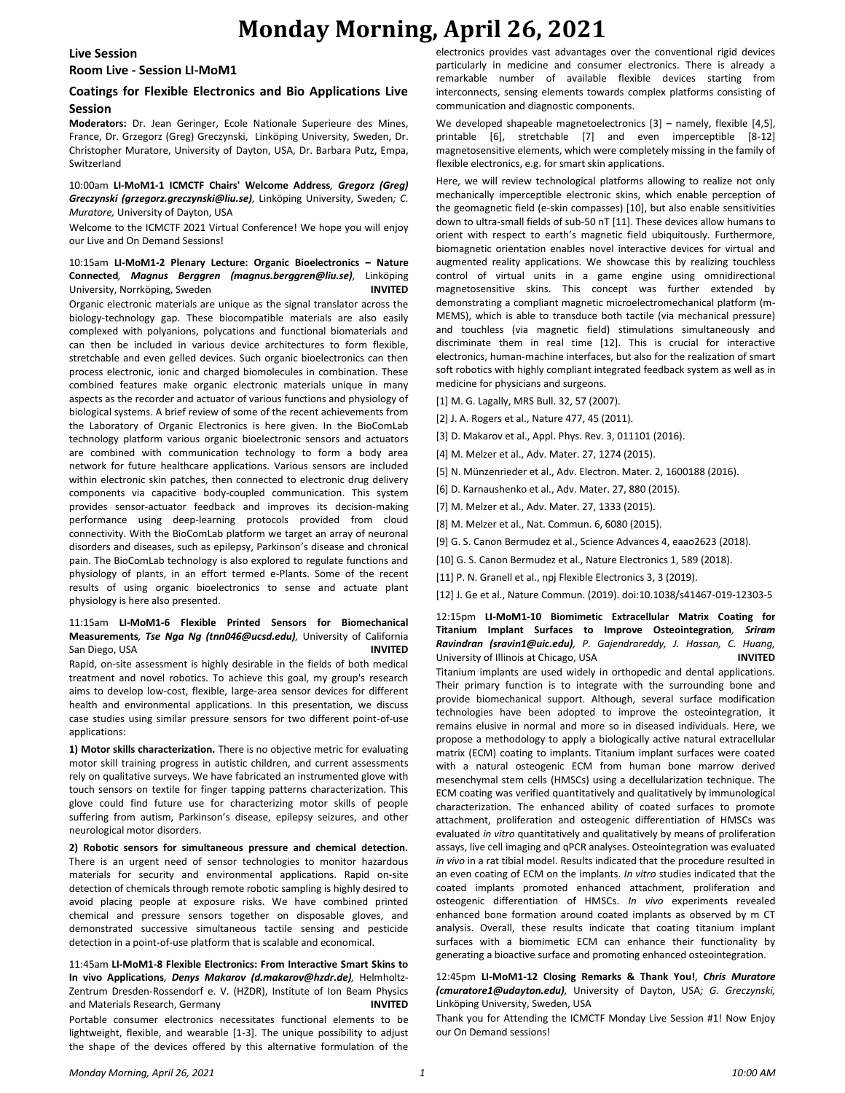# **Monday Morning, April 26, 2021**

#### **Live Session**

# **Room Live - Session LI-MoM1**

# **Coatings for Flexible Electronics and Bio Applications Live Session**

**Moderators:** Dr. Jean Geringer, Ecole Nationale Superieure des Mines, France, Dr. Grzegorz (Greg) Greczynski, Linköping University, Sweden, Dr. Christopher Muratore, University of Dayton, USA, Dr. Barbara Putz, Empa, Switzerland

### 10:00am **LI-MoM1-1 ICMCTF Chairs' Welcome Address***, Gregorz (Greg) Greczynski (grzegorz.greczynski@liu.se),* Linköping University, Sweden*; C. Muratore,* University of Dayton, USA

Welcome to the ICMCTF 2021 Virtual Conference! We hope you will enjoy our Live and On Demand Sessions!

# 10:15am **LI-MoM1-2 Plenary Lecture: Organic Bioelectronics – Nature Connected***, Magnus Berggren (magnus.berggren@liu.se),* Linköping University, Norrköping, Sweden **INVITED**

Organic electronic materials are unique as the signal translator across the biology-technology gap. These biocompatible materials are also easily complexed with polyanions, polycations and functional biomaterials and can then be included in various device architectures to form flexible, stretchable and even gelled devices. Such organic bioelectronics can then process electronic, ionic and charged biomolecules in combination. These combined features make organic electronic materials unique in many aspects as the recorder and actuator of various functions and physiology of biological systems. A brief review of some of the recent achievements from the Laboratory of Organic Electronics is here given. In the BioComLab technology platform various organic bioelectronic sensors and actuators are combined with communication technology to form a body area network for future healthcare applications. Various sensors are included within electronic skin patches, then connected to electronic drug delivery components via capacitive body-coupled communication. This system provides sensor-actuator feedback and improves its decision-making performance using deep-learning protocols provided from cloud connectivity. With the BioComLab platform we target an array of neuronal disorders and diseases, such as epilepsy, Parkinson's disease and chronical pain. The BioComLab technology is also explored to regulate functions and physiology of plants, in an effort termed e-Plants. Some of the recent results of using organic bioelectronics to sense and actuate plant physiology is here also presented.

### 11:15am **LI-MoM1-6 Flexible Printed Sensors for Biomechanical Measurements***, Tse Nga Ng (tnn046@ucsd.edu),* University of California San Diego, USA **INVITED**

Rapid, on-site assessment is highly desirable in the fields of both medical treatment and novel robotics. To achieve this goal, my group's research aims to develop low-cost, flexible, large-area sensor devices for different health and environmental applications. In this presentation, we discuss case studies using similar pressure sensors for two different point-of-use applications:

**1) Motor skills characterization.** There is no objective metric for evaluating motor skill training progress in autistic children, and current assessments rely on qualitative surveys. We have fabricated an instrumented glove with touch sensors on textile for finger tapping patterns characterization. This glove could find future use for characterizing motor skills of people suffering from autism, Parkinson's disease, epilepsy seizures, and other neurological motor disorders.

**2) Robotic sensors for simultaneous pressure and chemical detection.**  There is an urgent need of sensor technologies to monitor hazardous materials for security and environmental applications. Rapid on-site detection of chemicals through remote robotic sampling is highly desired to avoid placing people at exposure risks. We have combined printed chemical and pressure sensors together on disposable gloves, and demonstrated successive simultaneous tactile sensing and pesticide detection in a point-of-use platform that is scalable and economical.

11:45am **LI-MoM1-8 Flexible Electronics: From Interactive Smart Skins to In vivo Applications***, Denys Makarov (d.makarov@hzdr.de),* Helmholtz-Zentrum Dresden-Rossendorf e. V. (HZDR), Institute of Ion Beam Physics and Materials Research, Germany **INVITED** Portable consumer electronics necessitates functional elements to be lightweight, flexible, and wearable [1-3]. The unique possibility to adjust the shape of the devices offered by this alternative formulation of the

electronics provides vast advantages over the conventional rigid devices particularly in medicine and consumer electronics. There is already a remarkable number of available flexible devices starting from interconnects, sensing elements towards complex platforms consisting of communication and diagnostic components.

We developed shapeable magnetoelectronics [3] – namely, flexible [4,5], printable [6], stretchable [7] and even imperceptible [8-12] magnetosensitive elements, which were completely missing in the family of flexible electronics, e.g. for smart skin applications.

Here, we will review technological platforms allowing to realize not only mechanically imperceptible electronic skins, which enable perception of the geomagnetic field (e-skin compasses) [10], but also enable sensitivities down to ultra-small fields of sub-50 nT [11]. These devices allow humans to orient with respect to earth's magnetic field ubiquitously. Furthermore, biomagnetic orientation enables novel interactive devices for virtual and augmented reality applications. We showcase this by realizing touchless control of virtual units in a game engine using omnidirectional magnetosensitive skins. This concept was further extended by demonstrating a compliant magnetic microelectromechanical platform (m-MEMS), which is able to transduce both tactile (via mechanical pressure) and touchless (via magnetic field) stimulations simultaneously and discriminate them in real time [12]. This is crucial for interactive electronics, human-machine interfaces, but also for the realization of smart soft robotics with highly compliant integrated feedback system as well as in medicine for physicians and surgeons.

[1] M. G. Lagally, MRS Bull. 32, 57 (2007).

[2] J. A. Rogers et al., Nature 477, 45 (2011).

[3] D. Makarov et al., Appl. Phys. Rev. 3, 011101 (2016).

[4] M. Melzer et al., Adv. Mater. 27, 1274 (2015).

[5] N. Münzenrieder et al., Adv. Electron. Mater. 2, 1600188 (2016).

[6] D. Karnaushenko et al., Adv. Mater. 27, 880 (2015).

[7] M. Melzer et al., Adv. Mater. 27, 1333 (2015).

[8] M. Melzer et al., Nat. Commun. 6, 6080 (2015).

[9] G. S. Canon Bermudez et al., Science Advances 4, eaao2623 (2018).

[10] G. S. Canon Bermudez et al., Nature Electronics 1, 589 (2018).

[11] P. N. Granell et al., npj Flexible Electronics 3, 3 (2019).

[12] J. Ge et al., Nature Commun. (2019). doi:10.1038/s41467-019-12303-5

12:15pm **LI-MoM1-10 Biomimetic Extracellular Matrix Coating for Titanium Implant Surfaces to Improve Osteointegration***, Sriram Ravindran (sravin1@uic.edu), P. Gajendrareddy, J. Hassan, C. Huang,*  University of Illinois at Chicago, USA **INVITED**

Titanium implants are used widely in orthopedic and dental applications. Their primary function is to integrate with the surrounding bone and provide biomechanical support. Although, several surface modification technologies have been adopted to improve the osteointegration, it remains elusive in normal and more so in diseased individuals. Here, we propose a methodology to apply a biologically active natural extracellular matrix (ECM) coating to implants. Titanium implant surfaces were coated with a natural osteogenic ECM from human bone marrow derived mesenchymal stem cells (HMSCs) using a decellularization technique. The ECM coating was verified quantitatively and qualitatively by immunological characterization. The enhanced ability of coated surfaces to promote attachment, proliferation and osteogenic differentiation of HMSCs was evaluated *in vitro* quantitatively and qualitatively by means of proliferation assays, live cell imaging and qPCR analyses. Osteointegration was evaluated *in vivo* in a rat tibial model. Results indicated that the procedure resulted in an even coating of ECM on the implants. *In vitro* studies indicated that the coated implants promoted enhanced attachment, proliferation and osteogenic differentiation of HMSCs. *In vivo* experiments revealed enhanced bone formation around coated implants as observed by m CT analysis. Overall, these results indicate that coating titanium implant surfaces with a biomimetic ECM can enhance their functionality by generating a bioactive surface and promoting enhanced osteointegration.

12:45pm **LI-MoM1-12 Closing Remarks & Thank You!***, Chris Muratore (cmuratore1@udayton.edu),* University of Dayton, USA*; G. Greczynski,*  Linköping University, Sweden, USA

Thank you for Attending the ICMCTF Monday Live Session #1! Now Enjoy our On Demand sessions!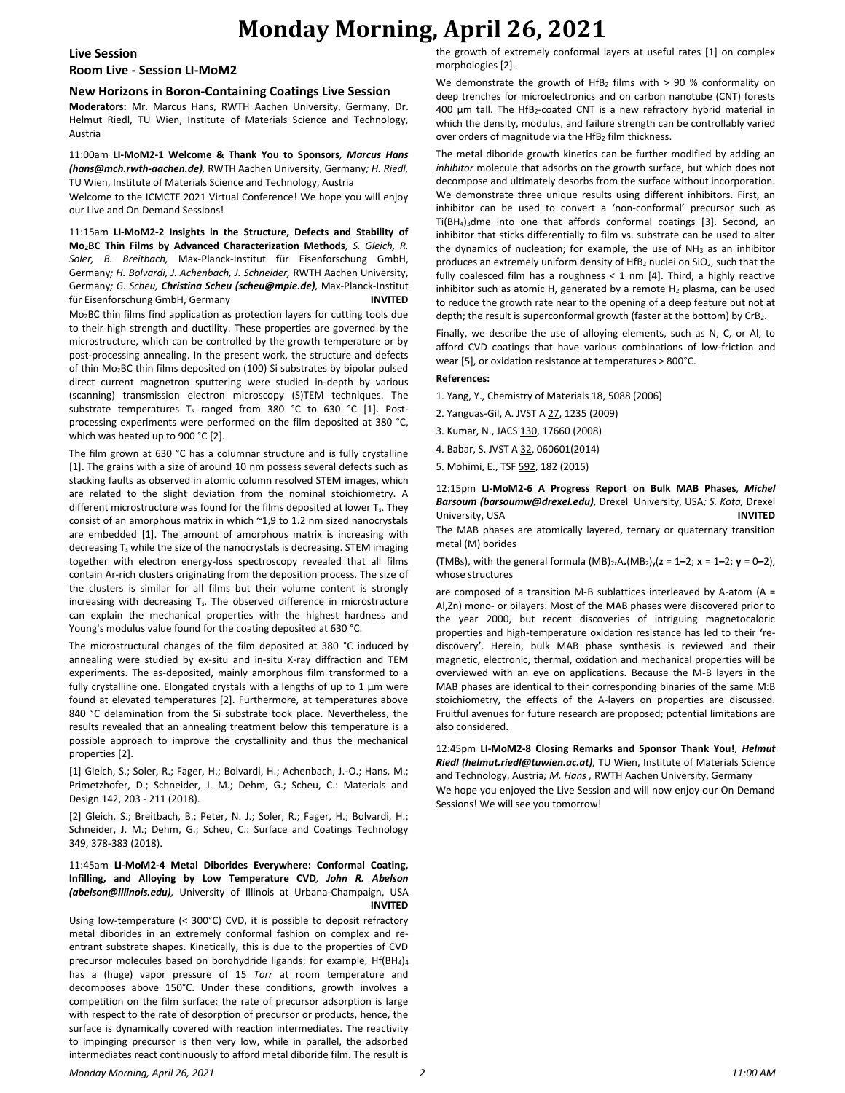# **Monday Morning, April 26, 2021**

#### **Live Session**

# **Room Live - Session LI-MoM2**

### **New Horizons in Boron-Containing Coatings Live Session**

**Moderators:** Mr. Marcus Hans, RWTH Aachen University, Germany, Dr. Helmut Riedl, TU Wien, Institute of Materials Science and Technology, Austria

#### 11:00am **LI-MoM2-1 Welcome & Thank You to Sponsors***, Marcus Hans (hans@mch.rwth-aachen.de),* RWTH Aachen University, Germany*; H. Riedl,*  TU Wien, Institute of Materials Science and Technology, Austria

Welcome to the ICMCTF 2021 Virtual Conference! We hope you will enjoy our Live and On Demand Sessions!

11:15am **LI-MoM2-2 Insights in the Structure, Defects and Stability of Mo2BC Thin Films by Advanced Characterization Methods***, S. Gleich, R. Soler, B. Breitbach,* Max-Planck-Institut für Eisenforschung GmbH, Germany*; H. Bolvardi, J. Achenbach, J. Schneider,* RWTH Aachen University, Germany*; G. Scheu, Christina Scheu (scheu@mpie.de),* Max-Planck-Institut für Eisenforschung GmbH, Germany **INVITED** Mo2BC thin films find application as protection layers for cutting tools due to their high strength and ductility. These properties are governed by the microstructure, which can be controlled by the growth temperature or by post-processing annealing. In the present work, the structure and defects

of thin Mo2BC thin films deposited on (100) Si substrates by bipolar pulsed direct current magnetron sputtering were studied in-depth by various (scanning) transmission electron microscopy (S)TEM techniques. The substrate temperatures T<sub>s</sub> ranged from 380 °C to 630 °C [1]. Postprocessing experiments were performed on the film deposited at 380 °C, which was heated up to 900 °C [2].

The film grown at 630 °C has a columnar structure and is fully crystalline [1]. The grains with a size of around 10 nm possess several defects such as stacking faults as observed in atomic column resolved STEM images, which are related to the slight deviation from the nominal stoichiometry. A different microstructure was found for the films deposited at lower  $T_s$ . They consist of an amorphous matrix in which ~1,9 to 1.2 nm sized nanocrystals are embedded [1]. The amount of amorphous matrix is increasing with decreasing  $T_s$  while the size of the nanocrystals is decreasing. STEM imaging together with electron energy-loss spectroscopy revealed that all films contain Ar-rich clusters originating from the deposition process. The size of the clusters is similar for all films but their volume content is strongly increasing with decreasing Ts. The observed difference in microstructure can explain the mechanical properties with the highest hardness and Young's modulus value found for the coating deposited at 630 °C.

The microstructural changes of the film deposited at 380 °C induced by annealing were studied by ex-situ and in-situ X-ray diffraction and TEM experiments. The as-deposited, mainly amorphous film transformed to a fully crystalline one. Elongated crystals with a lengths of up to 1 μm were found at elevated temperatures [2]. Furthermore, at temperatures above 840 °C delamination from the Si substrate took place. Nevertheless, the results revealed that an annealing treatment below this temperature is a possible approach to improve the crystallinity and thus the mechanical properties [2].

[1] Gleich, S.; Soler, R.; Fager, H.; Bolvardi, H.; Achenbach, J.-O.; Hans, M.; Primetzhofer, D.; Schneider, J. M.; Dehm, G.; Scheu, C.: Materials and Design 142, 203 - 211 (2018).

[2] Gleich, S.; Breitbach, B.; Peter, N. J.; Soler, R.; Fager, H.; Bolvardi, H.; Schneider, J. M.; Dehm, G.; Scheu, C.: Surface and Coatings Technology 349, 378-383 (2018).

#### 11:45am **LI-MoM2-4 Metal Diborides Everywhere: Conformal Coating, Infilling, and Alloying by Low Temperature CVD***, John R. Abelson (abelson@illinois.edu),* University of Illinois at Urbana-Champaign, USA **INVITED**

Using low-temperature (< 300°C) CVD, it is possible to deposit refractory metal diborides in an extremely conformal fashion on complex and reentrant substrate shapes. Kinetically, this is due to the properties of CVD precursor molecules based on borohydride ligands; for example, Hf(BH<sub>4</sub>)<sub>4</sub> has a (huge) vapor pressure of 15 *Torr* at room temperature and decomposes above 150°C. Under these conditions, growth involves a competition on the film surface: the rate of precursor adsorption is large with respect to the rate of desorption of precursor or products, hence, the surface is dynamically covered with reaction intermediates. The reactivity to impinging precursor is then very low, while in parallel, the adsorbed intermediates react continuously to afford metal diboride film. The result is the growth of extremely conformal layers at useful rates [1] on complex morphologies [2].

We demonstrate the growth of HfB<sub>2</sub> films with  $> 90$  % conformality on deep trenches for microelectronics and on carbon nanotube (CNT) forests 400  $\mu$ m tall. The HfB<sub>2</sub>-coated CNT is a new refractory hybrid material in which the density, modulus, and failure strength can be controllably varied over orders of magnitude via the HfB<sub>2</sub> film thickness.

The metal diboride growth kinetics can be further modified by adding an *inhibitor* molecule that adsorbs on the growth surface, but which does not decompose and ultimately desorbs from the surface without incorporation. We demonstrate three unique results using different inhibitors. First, an inhibitor can be used to convert a 'non-conformal' precursor such as Ti(BH4)3dme into one that affords conformal coatings [3]. Second, an inhibitor that sticks differentially to film vs. substrate can be used to alter the dynamics of nucleation; for example, the use of NH<sub>3</sub> as an inhibitor produces an extremely uniform density of HfB<sub>2</sub> nuclei on SiO<sub>2</sub>, such that the fully coalesced film has a roughness  $<$  1 nm [4]. Third, a highly reactive inhibitor such as atomic H, generated by a remote  $H_2$  plasma, can be used to reduce the growth rate near to the opening of a deep feature but not at depth; the result is superconformal growth (faster at the bottom) by CrB2.

Finally, we describe the use of alloying elements, such as N, C, or Al, to afford CVD coatings that have various combinations of low-friction and wear [5], or oxidation resistance at temperatures > 800°C.

#### **References:**

- 1. Yang, Y., Chemistry of Materials 18, 5088 (2006)
- 2. Yanguas-Gil, A. JVST A 27, 1235 (2009)
- 3. Kumar, N., JACS 130, 17660 (2008)
- 4. Babar, S. JVST A 32, 060601(2014)
- 5. Mohimi, E., TSF 592, 182 (2015)

### 12:15pm **LI-MoM2-6 A Progress Report on Bulk MAB Phases***, Michel Barsoum (barsoumw@drexel.edu),* Drexel University, USA*; S. Kota,* Drexel University, USA **INVITED**

The MAB phases are atomically layered, ternary or quaternary transition metal (M) borides

(TMBs), with the general formula  $(MB)_{2z}A_x(MB_2)_y(z = 1-2; x = 1-2; y = 0-2)$ , whose structures

are composed of a transition M-B sublattices interleaved by A-atom ( $A =$ Al,Zn) mono- or bilayers. Most of the MAB phases were discovered prior to the year 2000, but recent discoveries of intriguing magnetocaloric properties and high-temperature oxidation resistance has led to their **'**rediscovery**'**. Herein, bulk MAB phase synthesis is reviewed and their magnetic, electronic, thermal, oxidation and mechanical properties will be overviewed with an eye on applications. Because the M-B layers in the MAB phases are identical to their corresponding binaries of the same M:B stoichiometry, the effects of the A-layers on properties are discussed. Fruitful avenues for future research are proposed; potential limitations are also considered.

12:45pm **LI-MoM2-8 Closing Remarks and Sponsor Thank You!***, Helmut Riedl (helmut.riedl@tuwien.ac.at),* TU Wien, Institute of Materials Science and Technology, Austria*; M. Hans ,* RWTH Aachen University, Germany We hope you enjoyed the Live Session and will now enjoy our On Demand Sessions! We will see you tomorrow!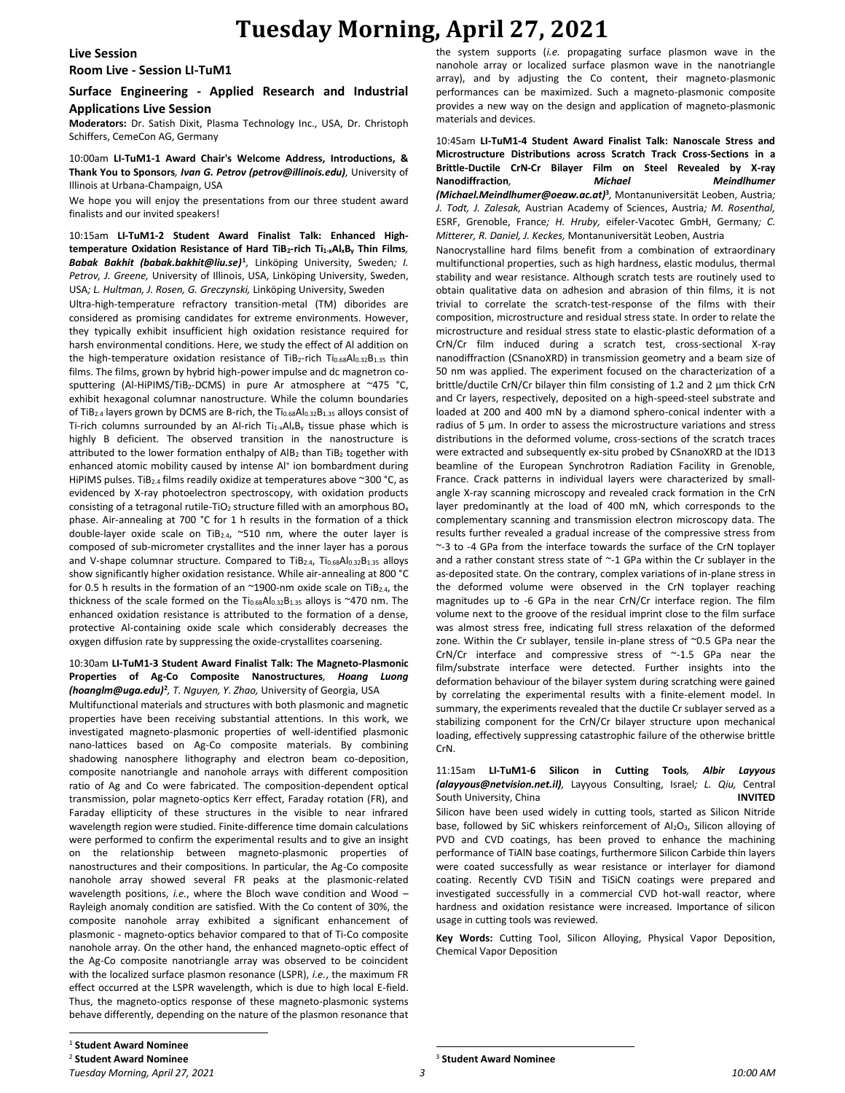# **Tuesday Morning, April 27, 2021**

#### **Live Session**

**Room Live - Session LI-TuM1**

# **Surface Engineering - Applied Research and Industrial Applications Live Session**

**Moderators:** Dr. Satish Dixit, Plasma Technology Inc., USA, Dr. Christoph Schiffers, CemeCon AG, Germany

10:00am **LI-TuM1-1 Award Chair's Welcome Address, Introductions, & Thank You to Sponsors***, Ivan G. Petrov (petrov@illinois.edu),* University of Illinois at Urbana-Champaign, USA

We hope you will enjoy the presentations from our three student award finalists and our invited speakers!

10:15am **LI-TuM1-2 Student Award Finalist Talk: Enhanced Hightemperature Oxidation Resistance of Hard TiB2-rich Ti1-xAlxB<sup>y</sup> Thin Films***, Babak Bakhit (babak.bakhit@liu.se)***<sup>1</sup>** *,* Linköping University, Sweden*; I. Petrov, J. Greene,* University of Illinois, USA, Linköping University, Sweden, USA*; L. Hultman, J. Rosen, G. Greczynski,* Linköping University, Sweden

Ultra-high-temperature refractory transition-metal (TM) diborides are considered as promising candidates for extreme environments. However, they typically exhibit insufficient high oxidation resistance required for harsh environmental conditions. Here, we study the effect of Al addition on the high-temperature oxidation resistance of TiB<sub>2</sub>-rich Ti<sub>0.68</sub>Al<sub>0.32</sub>B<sub>1.35</sub> thin films. The films, grown by hybrid high-power impulse and dc magnetron cosputtering (Al-HiPIMS/TiB<sub>2</sub>-DCMS) in pure Ar atmosphere at ~475 °C, exhibit hexagonal columnar nanostructure. While the column boundaries of TiB<sub>2.4</sub> layers grown by DCMS are B-rich, the  $Ti_{0.68}A_{0.32}B_{1.35}$  alloys consist of Ti-rich columns surrounded by an Al-rich  $Ti_{1-x}Al_xB_y$  tissue phase which is highly B deficient. The observed transition in the nanostructure is attributed to the lower formation enthalpy of  $AlB<sub>2</sub>$  than TiB<sub>2</sub> together with enhanced atomic mobility caused by intense Al<sup>+</sup> ion bombardment during HiPIMS pulses. TiB<sub>2.4</sub> films readily oxidize at temperatures above ~300 °C, as evidenced by X-ray photoelectron spectroscopy, with oxidation products consisting of a tetragonal rutile-TiO<sub>2</sub> structure filled with an amorphous  $BO_x$ phase. Air-annealing at 700 °C for 1 h results in the formation of a thick double-layer oxide scale on TiB<sub>2.4</sub>, ~510 nm, where the outer layer is composed of sub-micrometer crystallites and the inner layer has a porous and V-shape columnar structure. Compared to TiB<sub>2.4</sub>, Ti<sub>0.68</sub>Al<sub>0.32</sub>B<sub>1.35</sub> alloys show significantly higher oxidation resistance. While air-annealing at 800 °C for 0.5 h results in the formation of an  $\sim$ 1900-nm oxide scale on TiB<sub>2.4</sub>, the thickness of the scale formed on the Ti<sub>0.68</sub>Al<sub>0.32</sub>B<sub>1.35</sub> alloys is ~470 nm. The enhanced oxidation resistance is attributed to the formation of a dense, protective Al-containing oxide scale which considerably decreases the oxygen diffusion rate by suppressing the oxide-crystallites coarsening.

#### 10:30am **LI-TuM1-3 Student Award Finalist Talk: The Magneto-Plasmonic Properties of Ag-Co Composite Nanostructures***, Hoang Luong (hoanglm@uga.edu)***<sup>2</sup>** *, T. Nguyen, Y. Zhao,* University of Georgia, USA

Multifunctional materials and structures with both plasmonic and magnetic properties have been receiving substantial attentions. In this work, we investigated magneto-plasmonic properties of well-identified plasmonic nano-lattices based on Ag-Co composite materials. By combining shadowing nanosphere lithography and electron beam co-deposition, composite nanotriangle and nanohole arrays with different composition ratio of Ag and Co were fabricated. The composition-dependent optical transmission, polar magneto-optics Kerr effect, Faraday rotation (FR), and Faraday ellipticity of these structures in the visible to near infrared wavelength region were studied. Finite-difference time domain calculations were performed to confirm the experimental results and to give an insight on the relationship between magneto-plasmonic properties of nanostructures and their compositions. In particular, the Ag-Co composite nanohole array showed several FR peaks at the plasmonic-related wavelength positions, *i.e.*, where the Bloch wave condition and Wood – Rayleigh anomaly condition are satisfied. With the Co content of 30%, the composite nanohole array exhibited a significant enhancement of plasmonic - magneto-optics behavior compared to that of Ti-Co composite nanohole array. On the other hand, the enhanced magneto-optic effect of the Ag-Co composite nanotriangle array was observed to be coincident with the localized surface plasmon resonance (LSPR), *i.e.*, the maximum FR effect occurred at the LSPR wavelength, which is due to high local E-field. Thus, the magneto-optics response of these magneto-plasmonic systems behave differently, depending on the nature of the plasmon resonance that the system supports (*i.e.* propagating surface plasmon wave in the nanohole array or localized surface plasmon wave in the nanotriangle array), and by adjusting the Co content, their magneto-plasmonic performances can be maximized. Such a magneto-plasmonic composite provides a new way on the design and application of magneto-plasmonic materials and devices.

10:45am **LI-TuM1-4 Student Award Finalist Talk: Nanoscale Stress and Microstructure Distributions across Scratch Track Cross-Sections in a Brittle-Ductile CrN-Cr Bilayer Film on Steel Revealed by X-ray Nanodiffraction***, Michael Meindlhumer (Michael.Meindlhumer@oeaw.ac.at)***<sup>3</sup>** *,* Montanuniversität Leoben, Austria*; J. Todt, J. Zalesak,* Austrian Academy of Sciences, Austria*; M. Rosenthal,*  ESRF, Grenoble, France*; H. Hruby,* eifeler-Vacotec GmbH, Germany*; C. Mitterer, R. Daniel, J. Keckes,* Montanuniversität Leoben, Austria

Nanocrystalline hard films benefit from a combination of extraordinary multifunctional properties, such as high hardness, elastic modulus, thermal stability and wear resistance. Although scratch tests are routinely used to obtain qualitative data on adhesion and abrasion of thin films, it is not trivial to correlate the scratch-test-response of the films with their composition, microstructure and residual stress state. In order to relate the microstructure and residual stress state to elastic-plastic deformation of a CrN/Cr film induced during a scratch test, cross-sectional X-ray nanodiffraction (CSnanoXRD) in transmission geometry and a beam size of 50 nm was applied. The experiment focused on the characterization of a brittle/ductile CrN/Cr bilayer thin film consisting of 1.2 and 2 µm thick CrN and Cr layers, respectively, deposited on a high-speed-steel substrate and loaded at 200 and 400 mN by a diamond sphero-conical indenter with a radius of 5 µm. In order to assess the microstructure variations and stress distributions in the deformed volume, cross-sections of the scratch traces were extracted and subsequently ex-situ probed by CSnanoXRD at the ID13 beamline of the European Synchrotron Radiation Facility in Grenoble, France. Crack patterns in individual layers were characterized by smallangle X-ray scanning microscopy and revealed crack formation in the CrN layer predominantly at the load of 400 mN, which corresponds to the complementary scanning and transmission electron microscopy data. The results further revealed a gradual increase of the compressive stress from ~-3 to -4 GPa from the interface towards the surface of the CrN toplayer and a rather constant stress state of ~-1 GPa within the Cr sublayer in the as-deposited state. On the contrary, complex variations of in-plane stress in the deformed volume were observed in the CrN toplayer reaching magnitudes up to -6 GPa in the near CrN/Cr interface region. The film volume next to the groove of the residual imprint close to the film surface was almost stress free, indicating full stress relaxation of the deformed zone. Within the Cr sublayer, tensile in-plane stress of ~0.5 GPa near the CrN/Cr interface and compressive stress of ~-1.5 GPa near the film/substrate interface were detected. Further insights into the deformation behaviour of the bilayer system during scratching were gained by correlating the experimental results with a finite-element model. In summary, the experiments revealed that the ductile Cr sublayer served as a stabilizing component for the CrN/Cr bilayer structure upon mechanical loading, effectively suppressing catastrophic failure of the otherwise brittle CrN.

11:15am **LI-TuM1-6 Silicon in Cutting Tools***, Albir Layyous (alayyous@netvision.net.il),* Layyous Consulting, Israel*; L. Qiu,* Central South University, China **INVITED** Silicon have been used widely in cutting tools, started as Silicon Nitride base, followed by SiC whiskers reinforcement of Al<sub>2</sub>O<sub>3</sub>, Silicon alloying of PVD and CVD coatings, has been proved to enhance the machining performance of TiAlN base coatings, furthermore Silicon Carbide thin layers were coated successfully as wear resistance or interlayer for diamond coating. Recently CVD TiSiN and TiSiCN coatings were prepared and investigated successfully in a commercial CVD hot-wall reactor, where hardness and oxidation resistance were increased. Importance of silicon usage in cutting tools was reviewed.

**Key Words:** Cutting Tool, Silicon Alloying, Physical Vapor Deposition, Chemical Vapor Deposition

<sup>3</sup> **Student Award Nominee**

<sup>1</sup> **Student Award Nominee**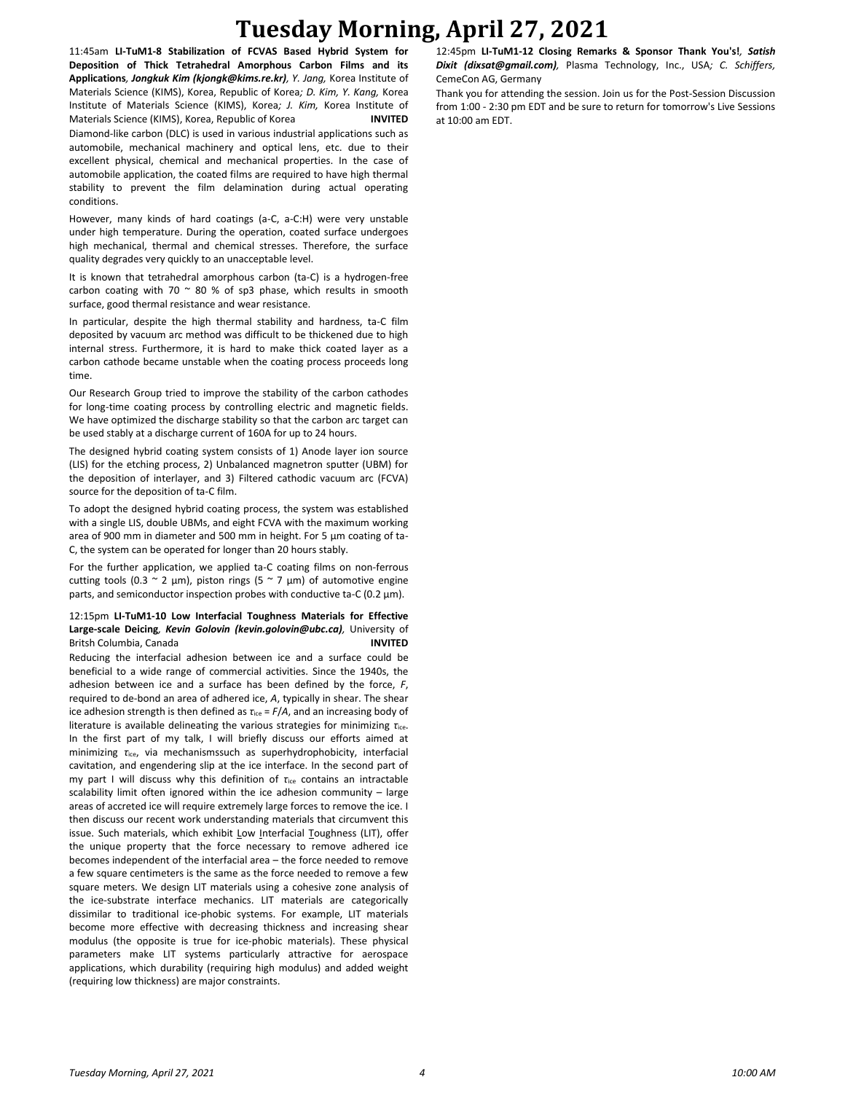# **Tuesday Morning, April 27, 2021**

11:45am **LI-TuM1-8 Stabilization of FCVAS Based Hybrid System for Deposition of Thick Tetrahedral Amorphous Carbon Films and its Applications***, Jongkuk Kim (kjongk@kims.re.kr), Y. Jang,* Korea Institute of Materials Science (KIMS), Korea, Republic of Korea*; D. Kim, Y. Kang,* Korea Institute of Materials Science (KIMS), Korea*; J. Kim,* Korea Institute of Materials Science (KIMS), Korea, Republic of Korea **INVITED** Diamond-like carbon (DLC) is used in various industrial applications such as automobile, mechanical machinery and optical lens, etc. due to their excellent physical, chemical and mechanical properties. In the case of automobile application, the coated films are required to have high thermal stability to prevent the film delamination during actual operating conditions.

However, many kinds of hard coatings (a-C, a-C:H) were very unstable under high temperature. During the operation, coated surface undergoes high mechanical, thermal and chemical stresses. Therefore, the surface quality degrades very quickly to an unacceptable level.

It is known that tetrahedral amorphous carbon (ta-C) is a hydrogen-free carbon coating with 70  $\sim$  80 % of sp3 phase, which results in smooth surface, good thermal resistance and wear resistance.

In particular, despite the high thermal stability and hardness, ta-C film deposited by vacuum arc method was difficult to be thickened due to high internal stress. Furthermore, it is hard to make thick coated layer as a carbon cathode became unstable when the coating process proceeds long time.

Our Research Group tried to improve the stability of the carbon cathodes for long-time coating process by controlling electric and magnetic fields. We have optimized the discharge stability so that the carbon arc target can be used stably at a discharge current of 160A for up to 24 hours.

The designed hybrid coating system consists of 1) Anode layer ion source (LIS) for the etching process, 2) Unbalanced magnetron sputter (UBM) for the deposition of interlayer, and 3) Filtered cathodic vacuum arc (FCVA) source for the deposition of ta-C film.

To adopt the designed hybrid coating process, the system was established with a single LIS, double UBMs, and eight FCVA with the maximum working area of 900 mm in diameter and 500 mm in height. For 5 μm coating of ta-C, the system can be operated for longer than 20 hours stably.

For the further application, we applied ta-C coating films on non-ferrous cutting tools (0.3  $\sim$  2 μm), piston rings (5  $\sim$  7 μm) of automotive engine parts, and semiconductor inspection probes with conductive ta-C (0.2 μm).

# 12:15pm **LI-TuM1-10 Low Interfacial Toughness Materials for Effective Large-scale Deicing***, Kevin Golovin (kevin.golovin@ubc.ca),* University of Britsh Columbia, Canada **INVITED**

Reducing the interfacial adhesion between ice and a surface could be beneficial to a wide range of commercial activities. Since the 1940s, the adhesion between ice and a surface has been defined by the force, *F*, required to de-bond an area of adhered ice, *A*, typically in shear. The shear ice adhesion strength is then defined as *τ*ice = *F*/*A*, and an increasing body of literature is available delineating the various strategies for minimizing *τ*ice. In the first part of my talk, I will briefly discuss our efforts aimed at minimizing *τ*ice, via mechanismssuch as superhydrophobicity, interfacial cavitation, and engendering slip at the ice interface. In the second part of my part I will discuss why this definition of *τ*ice contains an intractable scalability limit often ignored within the ice adhesion community – large areas of accreted ice will require extremely large forces to remove the ice. I then discuss our recent work understanding materials that circumvent this issue. Such materials, which exhibit Low Interfacial Toughness (LIT), offer the unique property that the force necessary to remove adhered ice becomes independent of the interfacial area – the force needed to remove a few square centimeters is the same as the force needed to remove a few square meters. We design LIT materials using a cohesive zone analysis of the ice-substrate interface mechanics. LIT materials are categorically dissimilar to traditional ice-phobic systems. For example, LIT materials become more effective with decreasing thickness and increasing shear modulus (the opposite is true for ice-phobic materials). These physical parameters make LIT systems particularly attractive for aerospace applications, which durability (requiring high modulus) and added weight (requiring low thickness) are major constraints.

12:45pm **LI-TuM1-12 Closing Remarks & Sponsor Thank You's!***, Satish Dixit (dixsat@gmail.com),* Plasma Technology, Inc., USA*; C. Schiffers,*  CemeCon AG, Germany

Thank you for attending the session. Join us for the Post-Session Discussion from 1:00 - 2:30 pm EDT and be sure to return for tomorrow's Live Sessions at 10:00 am EDT.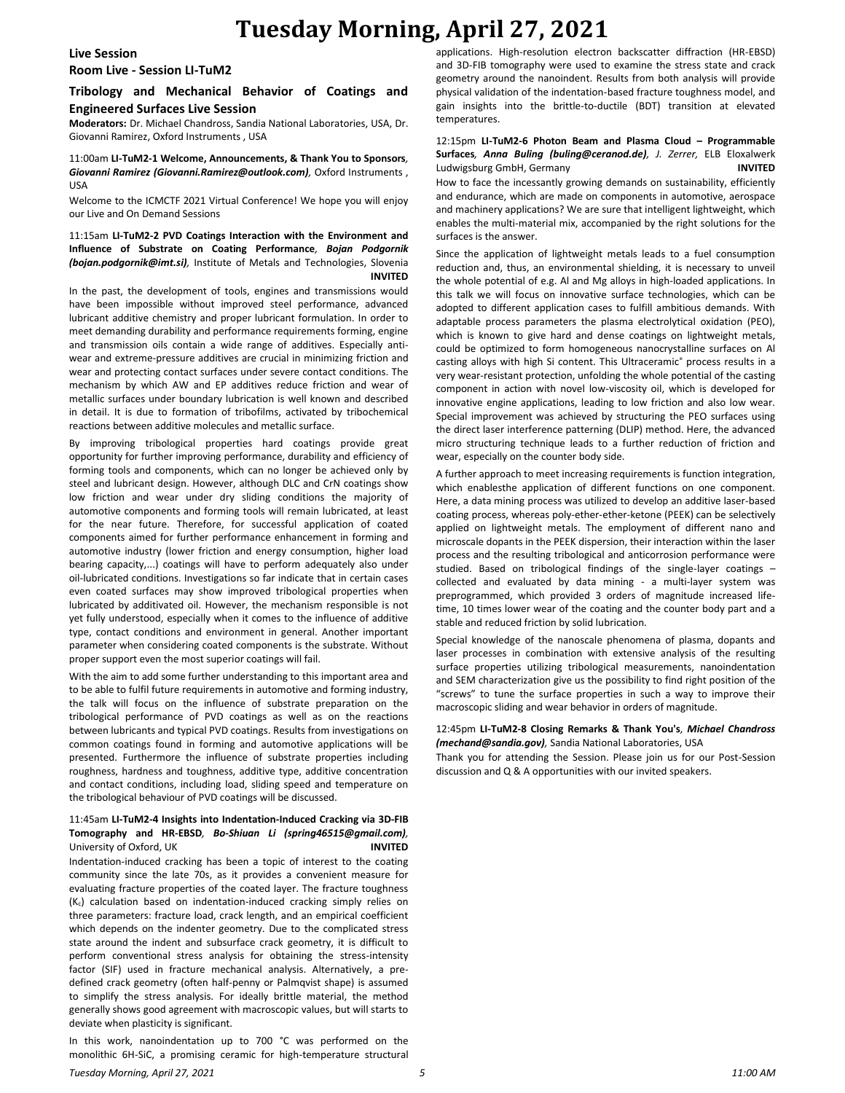# **Tuesday Morning, April 27, 2021**

#### **Live Session**

**Room Live - Session LI-TuM2**

# **Tribology and Mechanical Behavior of Coatings and Engineered Surfaces Live Session**

**Moderators:** Dr. Michael Chandross, Sandia National Laboratories, USA, Dr. Giovanni Ramirez, Oxford Instruments , USA

### 11:00am **LI-TuM2-1 Welcome, Announcements, & Thank You to Sponsors***, Giovanni Ramirez (Giovanni.Ramirez@outlook.com),* Oxford Instruments , USA

Welcome to the ICMCTF 2021 Virtual Conference! We hope you will enjoy our Live and On Demand Sessions

#### 11:15am **LI-TuM2-2 PVD Coatings Interaction with the Environment and Influence of Substrate on Coating Performance***, Bojan Podgornik (bojan.podgornik@imt.si),* Institute of Metals and Technologies, Slovenia **INVITED**

In the past, the development of tools, engines and transmissions would have been impossible without improved steel performance, advanced lubricant additive chemistry and proper lubricant formulation. In order to meet demanding durability and performance requirements forming, engine and transmission oils contain a wide range of additives. Especially antiwear and extreme-pressure additives are crucial in minimizing friction and wear and protecting contact surfaces under severe contact conditions. The mechanism by which AW and EP additives reduce friction and wear of metallic surfaces under boundary lubrication is well known and described in detail. It is due to formation of tribofilms, activated by tribochemical reactions between additive molecules and metallic surface.

By improving tribological properties hard coatings provide great opportunity for further improving performance, durability and efficiency of forming tools and components, which can no longer be achieved only by steel and lubricant design. However, although DLC and CrN coatings show low friction and wear under dry sliding conditions the majority of automotive components and forming tools will remain lubricated, at least for the near future. Therefore, for successful application of coated components aimed for further performance enhancement in forming and automotive industry (lower friction and energy consumption, higher load bearing capacity,...) coatings will have to perform adequately also under oil-lubricated conditions. Investigations so far indicate that in certain cases even coated surfaces may show improved tribological properties when lubricated by additivated oil. However, the mechanism responsible is not yet fully understood, especially when it comes to the influence of additive type, contact conditions and environment in general. Another important parameter when considering coated components is the substrate. Without proper support even the most superior coatings will fail.

With the aim to add some further understanding to this important area and to be able to fulfil future requirements in automotive and forming industry, the talk will focus on the influence of substrate preparation on the tribological performance of PVD coatings as well as on the reactions between lubricants and typical PVD coatings. Results from investigations on common coatings found in forming and automotive applications will be presented. Furthermore the influence of substrate properties including roughness, hardness and toughness, additive type, additive concentration and contact conditions, including load, sliding speed and temperature on the tribological behaviour of PVD coatings will be discussed.

# 11:45am **LI-TuM2-4 Insights into Indentation-Induced Cracking via 3D-FIB Tomography and HR-EBSD***, Bo-Shiuan Li (spring46515@gmail.com),*  University of Oxford, UK **INVITED**

Indentation-induced cracking has been a topic of interest to the coating community since the late 70s, as it provides a convenient measure for evaluating fracture properties of the coated layer. The fracture toughness (Kc) calculation based on indentation-induced cracking simply relies on three parameters: fracture load, crack length, and an empirical coefficient which depends on the indenter geometry. Due to the complicated stress state around the indent and subsurface crack geometry, it is difficult to perform conventional stress analysis for obtaining the stress-intensity factor (SIF) used in fracture mechanical analysis. Alternatively, a predefined crack geometry (often half-penny or Palmqvist shape) is assumed to simplify the stress analysis. For ideally brittle material, the method generally shows good agreement with macroscopic values, but will starts to deviate when plasticity is significant.

In this work, nanoindentation up to 700 °C was performed on the monolithic 6H-SiC, a promising ceramic for high-temperature structural applications. High-resolution electron backscatter diffraction (HR-EBSD) and 3D-FIB tomography were used to examine the stress state and crack geometry around the nanoindent. Results from both analysis will provide physical validation of the indentation-based fracture toughness model, and gain insights into the brittle-to-ductile (BDT) transition at elevated temperatures.

#### 12:15pm **LI-TuM2-6 Photon Beam and Plasma Cloud – Programmable Surfaces***, Anna Buling (buling@ceranod.de), J. Zerrer,* ELB Eloxalwerk Ludwigsburg GmbH, Germany **INVITED**

How to face the incessantly growing demands on sustainability, efficiently and endurance, which are made on components in automotive, aerospace and machinery applications? We are sure that intelligent lightweight, which enables the multi-material mix, accompanied by the right solutions for the surfaces is the answer.

Since the application of lightweight metals leads to a fuel consumption reduction and, thus, an environmental shielding, it is necessary to unveil the whole potential of e.g. Al and Mg alloys in high-loaded applications. In this talk we will focus on innovative surface technologies, which can be adopted to different application cases to fulfill ambitious demands. With adaptable process parameters the plasma electrolytical oxidation (PEO), which is known to give hard and dense coatings on lightweight metals, could be optimized to form homogeneous nanocrystalline surfaces on Al casting alloys with high Si content. This Ultraceramic® process results in a very wear-resistant protection, unfolding the whole potential of the casting component in action with novel low-viscosity oil, which is developed for innovative engine applications, leading to low friction and also low wear. Special improvement was achieved by structuring the PEO surfaces using the direct laser interference patterning (DLIP) method. Here, the advanced micro structuring technique leads to a further reduction of friction and wear, especially on the counter body side.

A further approach to meet increasing requirements is function integration, which enablesthe application of different functions on one component. Here, a data mining process was utilized to develop an additive laser-based coating process, whereas poly-ether-ether-ketone (PEEK) can be selectively applied on lightweight metals. The employment of different nano and microscale dopants in the PEEK dispersion, their interaction within the laser process and the resulting tribological and anticorrosion performance were studied. Based on tribological findings of the single-layer coatings – collected and evaluated by data mining - a multi-layer system was preprogrammed, which provided 3 orders of magnitude increased lifetime, 10 times lower wear of the coating and the counter body part and a stable and reduced friction by solid lubrication.

Special knowledge of the nanoscale phenomena of plasma, dopants and laser processes in combination with extensive analysis of the resulting surface properties utilizing tribological measurements, nanoindentation and SEM characterization give us the possibility to find right position of the "screws" to tune the surface properties in such a way to improve their macroscopic sliding and wear behavior in orders of magnitude.

#### 12:45pm **LI-TuM2-8 Closing Remarks & Thank You's***, Michael Chandross (mechand@sandia.gov),* Sandia National Laboratories, USA

Thank you for attending the Session. Please join us for our Post-Session discussion and Q & A opportunities with our invited speakers.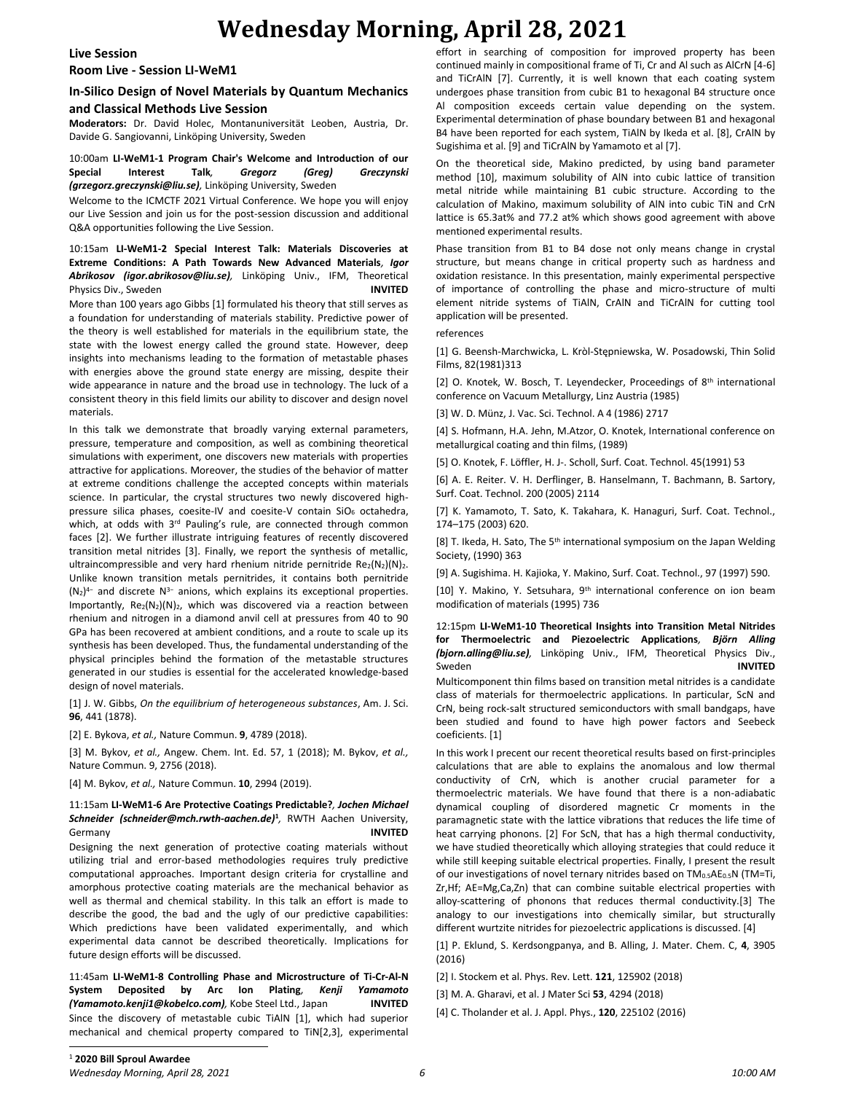# **Wednesday Morning, April 28, 2021**

### **Live Session**

**Room Live - Session LI-WeM1**

# **In-Silico Design of Novel Materials by Quantum Mechanics and Classical Methods Live Session**

**Moderators:** Dr. David Holec, Montanuniversität Leoben, Austria, Dr. Davide G. Sangiovanni, Linköping University, Sweden

10:00am **LI-WeM1-1 Program Chair's Welcome and Introduction of our Special Interest Talk***, Gregorz (Greg) Greczynski (grzegorz.greczynski@liu.se),* Linköping University, Sweden

Welcome to the ICMCTF 2021 Virtual Conference. We hope you will enjoy our Live Session and join us for the post-session discussion and additional Q&A opportunities following the Live Session.

# 10:15am **LI-WeM1-2 Special Interest Talk: Materials Discoveries at Extreme Conditions: A Path Towards New Advanced Materials***, Igor Abrikosov (igor.abrikosov@liu.se),* Linköping Univ., IFM, Theoretical Physics Div., Sweden **INVITED**

More than 100 years ago Gibbs [1] formulated his theory that still serves as a foundation for understanding of materials stability. Predictive power of the theory is well established for materials in the equilibrium state, the state with the lowest energy called the ground state. However, deep insights into mechanisms leading to the formation of metastable phases with energies above the ground state energy are missing, despite their wide appearance in nature and the broad use in technology. The luck of a consistent theory in this field limits our ability to discover and design novel materials.

In this talk we demonstrate that broadly varying external parameters, pressure, temperature and composition, as well as combining theoretical simulations with experiment, one discovers new materials with properties attractive for applications. Moreover, the studies of the behavior of matter at extreme conditions challenge the accepted concepts within materials science. In particular, the crystal structures two newly discovered highpressure silica phases, coesite-IV and coesite-V contain SiO<sub>6</sub> octahedra, which, at odds with 3<sup>rd</sup> Pauling's rule, are connected through common faces [2]. We further illustrate intriguing features of recently discovered transition metal nitrides [3]. Finally, we report the synthesis of metallic, ultraincompressible and very hard rhenium nitride pernitride  $Re<sub>2</sub>(N<sub>2</sub>)(N)<sub>2</sub>$ . Unlike known transition metals pernitrides, it contains both pernitride (N<sub>2</sub>)<sup>4-</sup> and discrete N<sup>3-</sup> anions, which explains its exceptional properties. Importantly,  $Re_2(N_2)(N)_2$ , which was discovered via a reaction between rhenium and nitrogen in a diamond anvil cell at pressures from 40 to 90 GPa has been recovered at ambient conditions, and a route to scale up its synthesis has been developed. Thus, the fundamental understanding of the physical principles behind the formation of the metastable structures generated in our studies is essential for the accelerated knowledge-based design of novel materials.

[1] J. W. Gibbs, *On the equilibrium of heterogeneous substances*, Am. J. Sci. **96**, 441 (1878).

[2] E. Bykova, *et al.,* Nature Commun. **9**, 4789 (2018).

[3] M. Bykov, *et al.,* Angew. Chem. Int. Ed. 57, 1 (2018); M. Bykov, *et al.,*  Nature Commun. 9, 2756 (2018).

[4] M. Bykov, *et al.,* Nature Commun. **10**, 2994 (2019).

### 11:15am **LI-WeM1-6 Are Protective Coatings Predictable?***, Jochen Michael Schneider (schneider@mch.rwth-aachen.de)***<sup>1</sup>** *,* RWTH Aachen University, Germany **INVITED**

Designing the next generation of protective coating materials without utilizing trial and error-based methodologies requires truly predictive computational approaches. Important design criteria for crystalline and amorphous protective coating materials are the mechanical behavior as well as thermal and chemical stability. In this talk an effort is made to describe the good, the bad and the ugly of our predictive capabilities: Which predictions have been validated experimentally, and which experimental data cannot be described theoretically. Implications for future design efforts will be discussed.

11:45am **LI-WeM1-8 Controlling Phase and Microstructure of Ti-Cr-Al-N System Deposited by Arc Ion Plating***, Kenji Yamamoto (Yamamoto.kenji1@kobelco.com),* Kobe Steel Ltd., Japan **INVITED** Since the discovery of metastable cubic TiAlN [1], which had superior mechanical and chemical property compared to TiN[2,3], experimental effort in searching of composition for improved property has been continued mainly in compositional frame of Ti, Cr and Al such as AlCrN [4-6] and TiCrAlN [7]. Currently, it is well known that each coating system undergoes phase transition from cubic B1 to hexagonal B4 structure once Al composition exceeds certain value depending on the system. Experimental determination of phase boundary between B1 and hexagonal B4 have been reported for each system, TiAlN by Ikeda et al. [8], CrAlN by Sugishima et al. [9] and TiCrAlN by Yamamoto et al [7].

On the theoretical side, Makino predicted, by using band parameter method [10], maximum solubility of AlN into cubic lattice of transition metal nitride while maintaining B1 cubic structure. According to the calculation of Makino, maximum solubility of AlN into cubic TiN and CrN lattice is 65.3at% and 77.2 at% which shows good agreement with above mentioned experimental results.

Phase transition from B1 to B4 dose not only means change in crystal structure, but means change in critical property such as hardness and oxidation resistance. In this presentation, mainly experimental perspective of importance of controlling the phase and micro-structure of multi element nitride systems of TiAlN, CrAlN and TiCrAlN for cutting tool application will be presented.

references

[1] G. Beensh-Marchwicka, L. Kròl-Stępniewska, W. Posadowski, Thin Solid Films, 82(1981)313

[2] O. Knotek, W. Bosch, T. Leyendecker, Proceedings of 8<sup>th</sup> international conference on Vacuum Metallurgy, Linz Austria (1985)

[3] W. D. Münz, J. Vac. Sci. Technol. A 4 (1986) 2717

[4] S. Hofmann, H.A. Jehn, M.Atzor, O. Knotek, International conference on metallurgical coating and thin films, (1989)

[5] O. Knotek, F. Löffler, H. J-. Scholl, Surf. Coat. Technol. 45(1991) 53

[6] A. E. Reiter. V. H. Derflinger, B. Hanselmann, T. Bachmann, B. Sartory, Surf. Coat. Technol. 200 (2005) 2114

[7] K. Yamamoto, T. Sato, K. Takahara, K. Hanaguri, Surf. Coat. Technol., 174–175 (2003) 620.

[8] T. Ikeda, H. Sato, The 5<sup>th</sup> international symposium on the Japan Welding Society, (1990) 363

[9] A. Sugishima. H. Kajioka, Y. Makino, Surf. Coat. Technol., 97 (1997) 590.

[10] Y. Makino, Y. Setsuhara, 9<sup>th</sup> international conference on ion beam modification of materials (1995) 736

12:15pm **LI-WeM1-10 Theoretical Insights into Transition Metal Nitrides for Thermoelectric and Piezoelectric Applications***, Björn Alling (bjorn.alling@liu.se),* Linköping Univ., IFM, Theoretical Physics Div., Sweden **INVITED**

Multicomponent thin films based on transition metal nitrides is a candidate class of materials for thermoelectric applications. In particular, ScN and CrN, being rock-salt structured semiconductors with small bandgaps, have been studied and found to have high power factors and Seebeck coeficients. [1]

In this work I precent our recent theoretical results based on first-principles calculations that are able to explains the anomalous and low thermal conductivity of CrN, which is another crucial parameter for a thermoelectric materials. We have found that there is a non-adiabatic dynamical coupling of disordered magnetic Cr moments in the paramagnetic state with the lattice vibrations that reduces the life time of heat carrying phonons. [2] For ScN, that has a high thermal conductivity, we have studied theoretically which alloying strategies that could reduce it while still keeping suitable electrical properties. Finally, I present the result of our investigations of novel ternary nitrides based on  $TM_{0.5}AE_{0.5}N$  (TM=Ti, Zr,Hf; AE=Mg,Ca,Zn) that can combine suitable electrical properties with alloy-scattering of phonons that reduces thermal conductivity.[3] The analogy to our investigations into chemically similar, but structurally different wurtzite nitrides for piezoelectric applications is discussed. [4]

[1] P. Eklund, S. Kerdsongpanya, and B. Alling, J. Mater. Chem. C, **4**, 3905 (2016)

[2] I. Stockem et al. Phys. Rev. Lett. **121**, 125902 (2018)

[3] M. A. Gharavi, et al. J Mater Sci **53**, 4294 (2018)

[4] C. Tholander et al. J. Appl. Phys., **120**, 225102 (2016)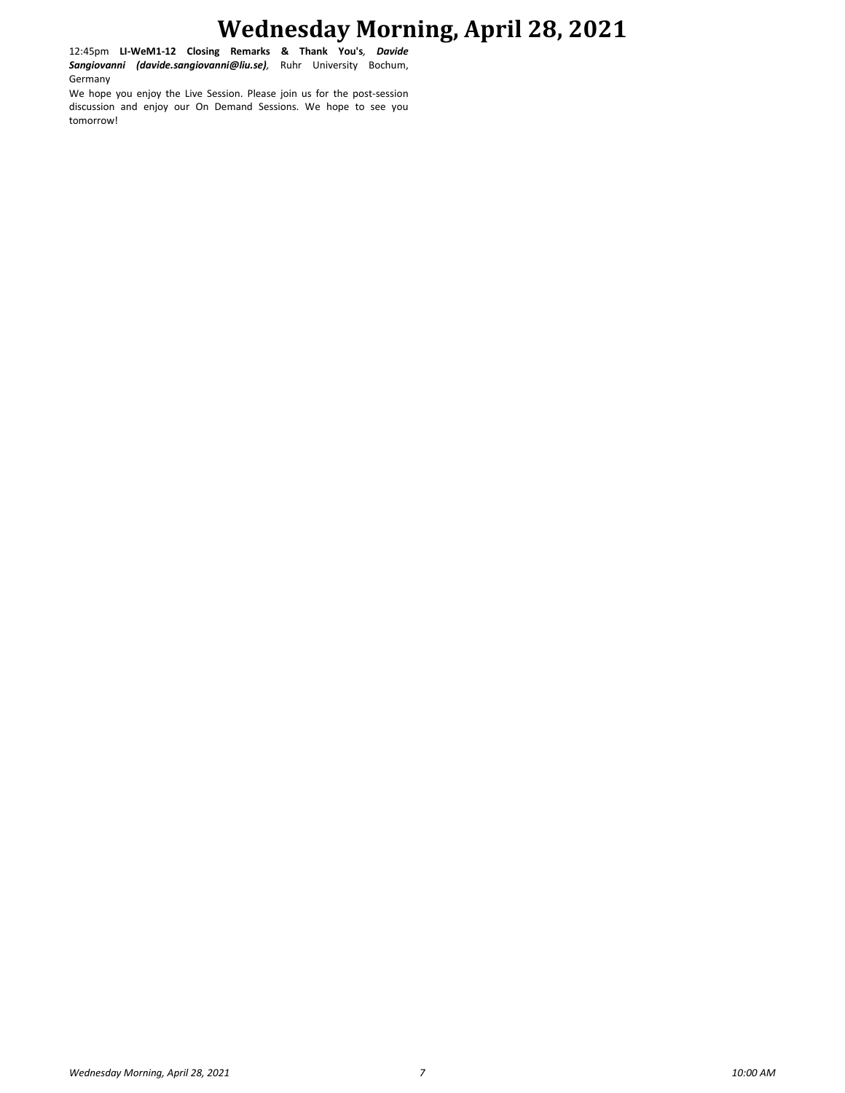# **Wednesday Morning, April 28, 2021**

12:45pm **LI-WeM1-12 Closing Remarks & Thank You's***, Davide Sangiovanni (davide.sangiovanni@liu.se),* Ruhr University Bochum, Germany

We hope you enjoy the Live Session. Please join us for the post-session discussion and enjoy our On Demand Sessions. We hope to see you tomorrow!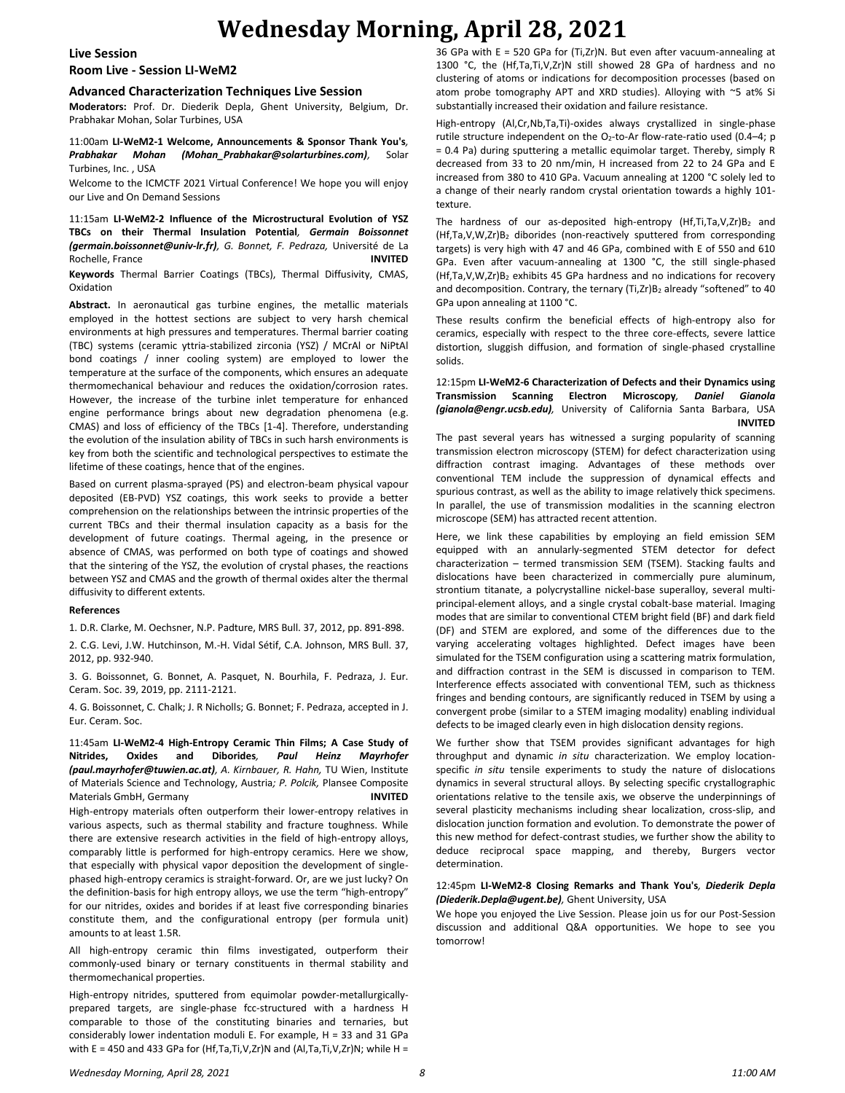# **Wednesday Morning, April 28, 2021**

#### **Live Session**

# **Room Live - Session LI-WeM2**

#### **Advanced Characterization Techniques Live Session**

**Moderators:** Prof. Dr. Diederik Depla, Ghent University, Belgium, Dr. Prabhakar Mohan, Solar Turbines, USA

11:00am **LI-WeM2-1 Welcome, Announcements & Sponsor Thank You's***, Prabhakar Mohan (Mohan\_Prabhakar@solarturbines.com),* Solar Turbines, Inc. , USA

Welcome to the ICMCTF 2021 Virtual Conference! We hope you will enjoy our Live and On Demand Sessions

11:15am **LI-WeM2-2 Influence of the Microstructural Evolution of YSZ TBCs on their Thermal Insulation Potential***, Germain Boissonnet (germain.boissonnet@univ-lr.fr), G. Bonnet, F. Pedraza,* Université de La Rochelle, France **INVITED Keywords** Thermal Barrier Coatings (TBCs), Thermal Diffusivity, CMAS,

Oxidation

**Abstract.** In aeronautical gas turbine engines, the metallic materials employed in the hottest sections are subject to very harsh chemical environments at high pressures and temperatures. Thermal barrier coating (TBC) systems (ceramic yttria-stabilized zirconia (YSZ) / MCrAl or NiPtAl bond coatings / inner cooling system) are employed to lower the temperature at the surface of the components, which ensures an adequate thermomechanical behaviour and reduces the oxidation/corrosion rates. However, the increase of the turbine inlet temperature for enhanced engine performance brings about new degradation phenomena (e.g. CMAS) and loss of efficiency of the TBCs [1-4]. Therefore, understanding the evolution of the insulation ability of TBCs in such harsh environments is key from both the scientific and technological perspectives to estimate the lifetime of these coatings, hence that of the engines.

Based on current plasma-sprayed (PS) and electron-beam physical vapour deposited (EB-PVD) YSZ coatings, this work seeks to provide a better comprehension on the relationships between the intrinsic properties of the current TBCs and their thermal insulation capacity as a basis for the development of future coatings. Thermal ageing, in the presence or absence of CMAS, was performed on both type of coatings and showed that the sintering of the YSZ, the evolution of crystal phases, the reactions between YSZ and CMAS and the growth of thermal oxides alter the thermal diffusivity to different extents.

#### **References**

1. D.R. Clarke, M. Oechsner, N.P. Padture, MRS Bull. 37, 2012, pp. 891-898.

2. C.G. Levi, J.W. Hutchinson, M.-H. Vidal Sétif, C.A. Johnson, MRS Bull. 37, 2012, pp. 932-940.

3. G. Boissonnet, G. Bonnet, A. Pasquet, N. Bourhila, F. Pedraza, J. Eur. Ceram. Soc. 39, 2019, pp. 2111-2121.

4. G. Boissonnet, C. Chalk; J. R Nicholls; G. Bonnet; F. Pedraza, accepted in J. Eur. Ceram. Soc.

11:45am **LI-WeM2-4 High-Entropy Ceramic Thin Films; A Case Study of Nitrides, Oxides and Diborides***, Paul Heinz Mayrhofer (paul.mayrhofer@tuwien.ac.at), A. Kirnbauer, R. Hahn,* TU Wien, Institute of Materials Science and Technology, Austria*; P. Polcik,* Plansee Composite Materials GmbH, Germany **INVITED**

High-entropy materials often outperform their lower-entropy relatives in various aspects, such as thermal stability and fracture toughness. While there are extensive research activities in the field of high-entropy alloys, comparably little is performed for high-entropy ceramics. Here we show, that especially with physical vapor deposition the development of singlephased high-entropy ceramics is straight-forward. Or, are we just lucky? On the definition-basis for high entropy alloys, we use the term "high-entropy" for our nitrides, oxides and borides if at least five corresponding binaries constitute them, and the configurational entropy (per formula unit) amounts to at least 1.5R.

All high-entropy ceramic thin films investigated, outperform their commonly-used binary or ternary constituents in thermal stability and thermomechanical properties.

High-entropy nitrides, sputtered from equimolar powder-metallurgicallyprepared targets, are single-phase fcc-structured with a hardness H comparable to those of the constituting binaries and ternaries, but considerably lower indentation moduli E. For example, H = 33 and 31 GPa with E = 450 and 433 GPa for (Hf,Ta,Ti,V,Zr)N and (Al,Ta,Ti,V,Zr)N; while H =

36 GPa with E = 520 GPa for (Ti,Zr)N. But even after vacuum-annealing at 1300 °C, the (Hf,Ta,Ti,V,Zr)N still showed 28 GPa of hardness and no clustering of atoms or indications for decomposition processes (based on atom probe tomography APT and XRD studies). Alloying with ~5 at% Si substantially increased their oxidation and failure resistance.

High-entropy (Al,Cr,Nb,Ta,Ti)-oxides always crystallized in single-phase rutile structure independent on the O<sub>2</sub>-to-Ar flow-rate-ratio used (0.4-4; p = 0.4 Pa) during sputtering a metallic equimolar target. Thereby, simply R decreased from 33 to 20 nm/min, H increased from 22 to 24 GPa and E increased from 380 to 410 GPa. Vacuum annealing at 1200 °C solely led to a change of their nearly random crystal orientation towards a highly 101 texture.

The hardness of our as-deposited high-entropy  $(Hf, Ti, Ta, V, Zr)B<sub>2</sub>$  and (Hf,Ta,V,W,Zr)B<sup>2</sup> diborides (non-reactively sputtered from corresponding targets) is very high with 47 and 46 GPa, combined with E of 550 and 610 GPa. Even after vacuum-annealing at 1300 °C, the still single-phased (Hf,Ta,V,W,Zr)B<sup>2</sup> exhibits 45 GPa hardness and no indications for recovery and decomposition. Contrary, the ternary (Ti,Zr)B<sub>2</sub> already "softened" to 40 GPa upon annealing at 1100 °C.

These results confirm the beneficial effects of high-entropy also for ceramics, especially with respect to the three core-effects, severe lattice distortion, sluggish diffusion, and formation of single-phased crystalline solids.

#### 12:15pm **LI-WeM2-6 Characterization of Defects and their Dynamics using Transmission Scanning Electron Microscopy***, Daniel Gianola (gianola@engr.ucsb.edu),* University of California Santa Barbara, USA **INVITED**

The past several years has witnessed a surging popularity of scanning transmission electron microscopy (STEM) for defect characterization using diffraction contrast imaging. Advantages of these methods over conventional TEM include the suppression of dynamical effects and spurious contrast, as well as the ability to image relatively thick specimens. In parallel, the use of transmission modalities in the scanning electron microscope (SEM) has attracted recent attention.

Here, we link these capabilities by employing an field emission SEM equipped with an annularly-segmented STEM detector for defect characterization – termed transmission SEM (TSEM). Stacking faults and dislocations have been characterized in commercially pure aluminum, strontium titanate, a polycrystalline nickel-base superalloy, several multiprincipal-element alloys, and a single crystal cobalt-base material. Imaging modes that are similar to conventional CTEM bright field (BF) and dark field (DF) and STEM are explored, and some of the differences due to the varying accelerating voltages highlighted. Defect images have been simulated for the TSEM configuration using a scattering matrix formulation, and diffraction contrast in the SEM is discussed in comparison to TEM. Interference effects associated with conventional TEM, such as thickness fringes and bending contours, are significantly reduced in TSEM by using a convergent probe (similar to a STEM imaging modality) enabling individual defects to be imaged clearly even in high dislocation density regions.

We further show that TSEM provides significant advantages for high throughput and dynamic *in situ* characterization. We employ locationspecific *in situ* tensile experiments to study the nature of dislocations dynamics in several structural alloys. By selecting specific crystallographic orientations relative to the tensile axis, we observe the underpinnings of several plasticity mechanisms including shear localization, cross-slip, and dislocation junction formation and evolution. To demonstrate the power of this new method for defect-contrast studies, we further show the ability to deduce reciprocal space mapping, and thereby, Burgers vector determination.

#### 12:45pm **LI-WeM2-8 Closing Remarks and Thank You's***, Diederik Depla (Diederik.Depla@ugent.be),* Ghent University, USA

We hope you enjoyed the Live Session. Please join us for our Post-Session discussion and additional Q&A opportunities. We hope to see you tomorrow!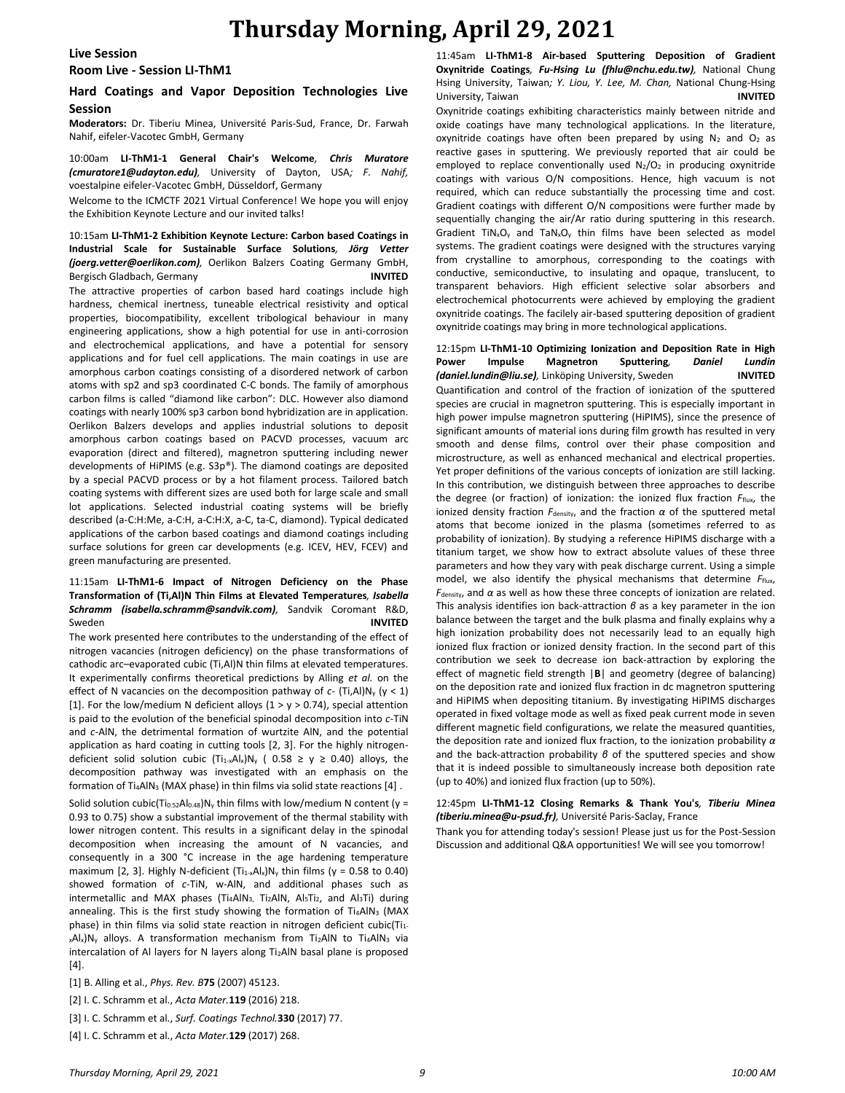# **Thursday Morning, April 29, 2021**

#### **Live Session**

# **Room Live - Session LI-ThM1**

# **Hard Coatings and Vapor Deposition Technologies Live Session**

**Moderators:** Dr. Tiberiu Minea, Université Paris-Sud, France, Dr. Farwah Nahif, eifeler-Vacotec GmbH, Germany

10:00am **LI-ThM1-1 General Chair's Welcome***, Chris Muratore (cmuratore1@udayton.edu),* University of Dayton, USA*; F. Nahif,*  voestalpine eifeler-Vacotec GmbH, Düsseldorf, Germany

Welcome to the ICMCTF 2021 Virtual Conference! We hope you will enjoy the Exhibition Keynote Lecture and our invited talks!

#### 10:15am **LI-ThM1-2 Exhibition Keynote Lecture: Carbon based Coatings in Industrial Scale for Sustainable Surface Solutions***, Jörg Vetter (joerg.vetter@oerlikon.com),* Oerlikon Balzers Coating Germany GmbH, Bergisch Gladbach, Germany **INVITED**

The attractive properties of carbon based hard coatings include high hardness, chemical inertness, tuneable electrical resistivity and optical properties, biocompatibility, excellent tribological behaviour in many engineering applications, show a high potential for use in anti-corrosion and electrochemical applications, and have a potential for sensory applications and for fuel cell applications. The main coatings in use are amorphous carbon coatings consisting of a disordered network of carbon atoms with sp2 and sp3 coordinated C-C bonds. The family of amorphous carbon films is called "diamond like carbon": DLC. However also diamond coatings with nearly 100% sp3 carbon bond hybridization are in application. Oerlikon Balzers develops and applies industrial solutions to deposit amorphous carbon coatings based on PACVD processes, vacuum arc evaporation (direct and filtered), magnetron sputtering including newer developments of HiPIMS (e.g. S3p®). The diamond coatings are deposited by a special PACVD process or by a hot filament process. Tailored batch coating systems with different sizes are used both for large scale and small lot applications. Selected industrial coating systems will be briefly described (a-C:H:Me, a-C:H, a-C:H:X, a-C, ta-C, diamond). Typical dedicated applications of the carbon based coatings and diamond coatings including surface solutions for green car developments (e.g. ICEV, HEV, FCEV) and green manufacturing are presented.

### 11:15am **LI-ThM1-6 Impact of Nitrogen Deficiency on the Phase Transformation of (Ti,Al)N Thin Films at Elevated Temperatures***, Isabella Schramm (isabella.schramm@sandvik.com),* Sandvik Coromant R&D, Sweden **INVITED**

The work presented here contributes to the understanding of the effect of nitrogen vacancies (nitrogen deficiency) on the phase transformations of cathodic arc–evaporated cubic (Ti,Al)N thin films at elevated temperatures. It experimentally confirms theoretical predictions by Alling *et al.* on the effect of N vacancies on the decomposition pathway of *c*- (Ti,Al)N<sup>y</sup> (y < 1) [1]. For the low/medium N deficient alloys ( $1 > y > 0.74$ ), special attention is paid to the evolution of the beneficial spinodal decomposition into *c*-TiN and *c*-AlN, the detrimental formation of wurtzite AlN, and the potential application as hard coating in cutting tools [2, 3]. For the highly nitrogendeficient solid solution cubic  $(Ti_{1-x}Al_x)N_y$  ( 0.58  $\geq$  y  $\geq$  0.40) alloys, the decomposition pathway was investigated with an emphasis on the formation of Ti<sub>4</sub>AlN<sub>3</sub> (MAX phase) in thin films via solid state reactions [4].

Solid solution cubic(Ti<sub>0.52</sub>Al<sub>0.48</sub>)N<sub>y</sub> thin films with low/medium N content (y = 0.93 to 0.75) show a substantial improvement of the thermal stability with lower nitrogen content. This results in a significant delay in the spinodal decomposition when increasing the amount of N vacancies, and consequently in a 300 °C increase in the age hardening temperature maximum [2, 3]. Highly N-deficient  $(T_{1-x}Al_x)N_y$  thin films (y = 0.58 to 0.40) showed formation of *c*-TiN, w-AlN, and additional phases such as intermetallic and MAX phases (Ti4AlN<sub>3</sub>, Ti<sub>2</sub>AlN, Al<sub>5</sub>Ti<sub>2</sub>, and Al<sub>3</sub>Ti) during annealing. This is the first study showing the formation of Ti4AlN<sub>3</sub> (MAX phase) in thin films via solid state reaction in nitrogen deficient cubic(Ti1xAlx)N<sub>y</sub> alloys. A transformation mechanism from Ti<sub>2</sub>AlN to Ti4AlN<sub>3</sub> via intercalation of Al layers for N layers along Ti2AlN basal plane is proposed [4].

[1] B. Alling et al., *Phys. Rev. B***75** (2007) 45123.

- [2] I. C. Schramm et al., *Acta Mater.***119** (2016) 218.
- [3] I. C. Schramm et al., *Surf. Coatings Technol.***330** (2017) 77.
- [4] I. C. Schramm et al., *Acta Mater.***129** (2017) 268.

11:45am **LI-ThM1-8 Air-based Sputtering Deposition of Gradient Oxynitride Coatings***, Fu-Hsing Lu (fhlu@nchu.edu.tw),* National Chung Hsing University, Taiwan*; Y. Liou, Y. Lee, M. Chan,* National Chung-Hsing University, Taiwan **INVITED**

Oxynitride coatings exhibiting characteristics mainly between nitride and oxide coatings have many technological applications. In the literature, oxynitride coatings have often been prepared by using  $N_2$  and  $O_2$  as reactive gases in sputtering. We previously reported that air could be employed to replace conventionally used  $N_2/O_2$  in producing oxynitride coatings with various O/N compositions. Hence, high vacuum is not required, which can reduce substantially the processing time and cost. Gradient coatings with different O/N compositions were further made by sequentially changing the air/Ar ratio during sputtering in this research. Gradient TiN<sub>x</sub>O<sub>y</sub> and TaN<sub>x</sub>O<sub>y</sub> thin films have been selected as model systems. The gradient coatings were designed with the structures varying from crystalline to amorphous, corresponding to the coatings with conductive, semiconductive, to insulating and opaque, translucent, to transparent behaviors. High efficient selective solar absorbers and electrochemical photocurrents were achieved by employing the gradient oxynitride coatings. The facilely air-based sputtering deposition of gradient oxynitride coatings may bring in more technological applications.

12:15pm **LI-ThM1-10 Optimizing Ionization and Deposition Rate in High Power Impulse Magnetron Sputtering***, Daniel Lundin (daniel.lundin@liu.se),* Linköping University, Sweden **INVITED** Quantification and control of the fraction of ionization of the sputtered species are crucial in magnetron sputtering. This is especially important in high power impulse magnetron sputtering (HiPIMS), since the presence of significant amounts of material ions during film growth has resulted in very smooth and dense films, control over their phase composition and microstructure, as well as enhanced mechanical and electrical properties. Yet proper definitions of the various concepts of ionization are still lacking. In this contribution, we distinguish between three approaches to describe the degree (or fraction) of ionization: the ionized flux fraction  $F_{\text{flux}}$ , the ionized density fraction  $F_{\text{density}}$ , and the fraction  $\alpha$  of the sputtered metal atoms that become ionized in the plasma (sometimes referred to as probability of ionization). By studying a reference HiPIMS discharge with a titanium target, we show how to extract absolute values of these three parameters and how they vary with peak discharge current. Using a simple model, we also identify the physical mechanisms that determine  $F_{\text{flux}}$ , *F*density, and *α* as well as how these three concepts of ionization are related. This analysis identifies ion back-attraction *β* as a key parameter in the ion balance between the target and the bulk plasma and finally explains why a high ionization probability does not necessarily lead to an equally high ionized flux fraction or ionized density fraction. In the second part of this contribution we seek to decrease ion back-attraction by exploring the effect of magnetic field strength |**B**| and geometry (degree of balancing) on the deposition rate and ionized flux fraction in dc magnetron sputtering and HiPIMS when depositing titanium. By investigating HiPIMS discharges operated in fixed voltage mode as well as fixed peak current mode in seven different magnetic field configurations, we relate the measured quantities, the deposition rate and ionized flux fraction, to the ionization probability *α* and the back-attraction probability *β* of the sputtered species and show that it is indeed possible to simultaneously increase both deposition rate (up to 40%) and ionized flux fraction (up to 50%).

#### 12:45pm **LI-ThM1-12 Closing Remarks & Thank You's***, Tiberiu Minea (tiberiu.minea@u-psud.fr),* Université Paris-Saclay, France

Thank you for attending today's session! Please just us for the Post-Session Discussion and additional Q&A opportunities! We will see you tomorrow!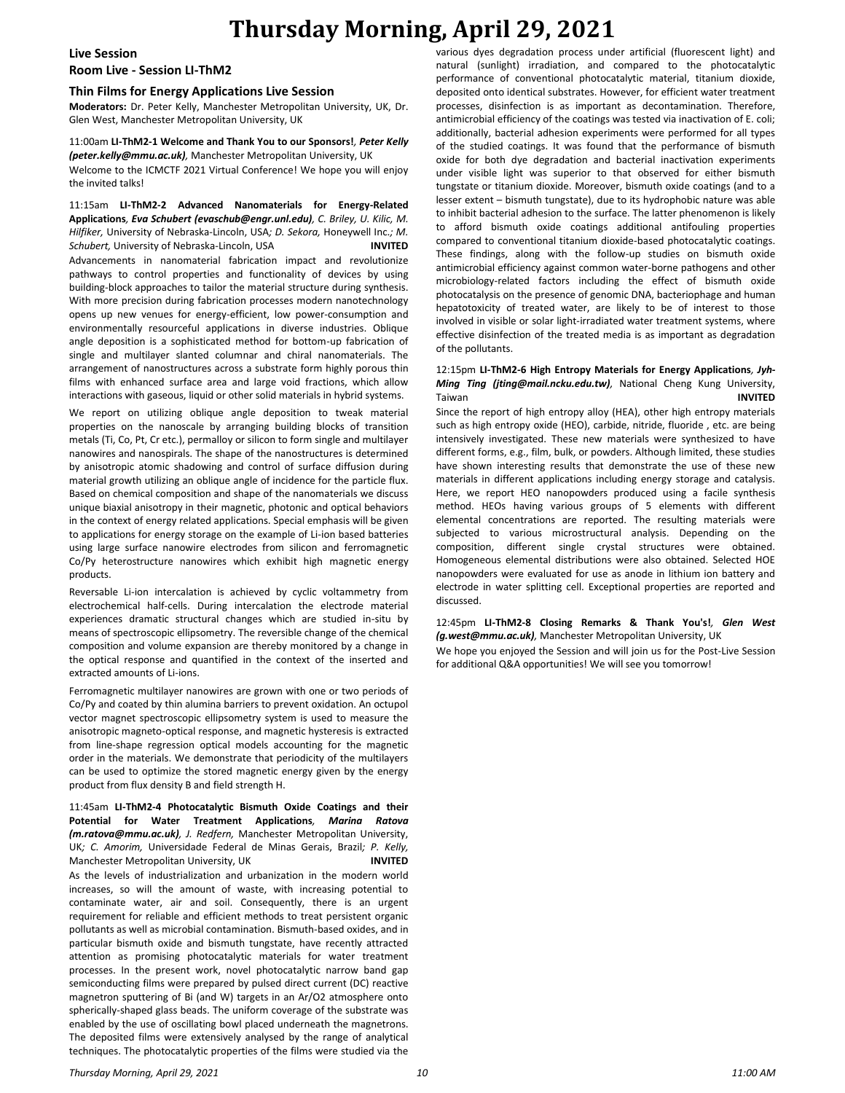# **Thursday Morning, April 29, 2021**

# **Live Session**

# **Room Live - Session LI-ThM2**

### **Thin Films for Energy Applications Live Session**

**Moderators:** Dr. Peter Kelly, Manchester Metropolitan University, UK, Dr. Glen West, Manchester Metropolitan University, UK

#### 11:00am **LI-ThM2-1 Welcome and Thank You to our Sponsors!***, Peter Kelly (peter.kelly@mmu.ac.uk),* Manchester Metropolitan University, UK

Welcome to the ICMCTF 2021 Virtual Conference! We hope you will enjoy the invited talks!

11:15am **LI-ThM2-2 Advanced Nanomaterials for Energy-Related Applications***, Eva Schubert (evaschub@engr.unl.edu), C. Briley, U. Kilic, M. Hilfiker,* University of Nebraska-Lincoln, USA*; D. Sekora,* Honeywell Inc.*; M. Schubert,* University of Nebraska-Lincoln, USA **INVITED** Advancements in nanomaterial fabrication impact and revolutionize pathways to control properties and functionality of devices by using building-block approaches to tailor the material structure during synthesis. With more precision during fabrication processes modern nanotechnology opens up new venues for energy-efficient, low power-consumption and environmentally resourceful applications in diverse industries. Oblique angle deposition is a sophisticated method for bottom-up fabrication of single and multilayer slanted columnar and chiral nanomaterials. The arrangement of nanostructures across a substrate form highly porous thin films with enhanced surface area and large void fractions, which allow interactions with gaseous, liquid or other solid materials in hybrid systems.

We report on utilizing oblique angle deposition to tweak material properties on the nanoscale by arranging building blocks of transition metals (Ti, Co, Pt, Cr etc.), permalloy or silicon to form single and multilayer nanowires and nanospirals. The shape of the nanostructures is determined by anisotropic atomic shadowing and control of surface diffusion during material growth utilizing an oblique angle of incidence for the particle flux. Based on chemical composition and shape of the nanomaterials we discuss unique biaxial anisotropy in their magnetic, photonic and optical behaviors in the context of energy related applications. Special emphasis will be given to applications for energy storage on the example of Li-ion based batteries using large surface nanowire electrodes from silicon and ferromagnetic Co/Py heterostructure nanowires which exhibit high magnetic energy products.

Reversable Li-ion intercalation is achieved by cyclic voltammetry from electrochemical half-cells. During intercalation the electrode material experiences dramatic structural changes which are studied in-situ by means of spectroscopic ellipsometry. The reversible change of the chemical composition and volume expansion are thereby monitored by a change in the optical response and quantified in the context of the inserted and extracted amounts of Li-ions.

Ferromagnetic multilayer nanowires are grown with one or two periods of Co/Py and coated by thin alumina barriers to prevent oxidation. An octupol vector magnet spectroscopic ellipsometry system is used to measure the anisotropic magneto-optical response, and magnetic hysteresis is extracted from line-shape regression optical models accounting for the magnetic order in the materials. We demonstrate that periodicity of the multilayers can be used to optimize the stored magnetic energy given by the energy product from flux density B and field strength H.

11:45am **LI-ThM2-4 Photocatalytic Bismuth Oxide Coatings and their Potential for Water Treatment Applications***, Marina Ratova (m.ratova@mmu.ac.uk), J. Redfern,* Manchester Metropolitan University, UK*; C. Amorim,* Universidade Federal de Minas Gerais, Brazil*; P. Kelly,*  Manchester Metropolitan University, UK **INVITED** As the levels of industrialization and urbanization in the modern world increases, so will the amount of waste, with increasing potential to contaminate water, air and soil. Consequently, there is an urgent requirement for reliable and efficient methods to treat persistent organic pollutants as well as microbial contamination. Bismuth-based oxides, and in particular bismuth oxide and bismuth tungstate, have recently attracted attention as promising photocatalytic materials for water treatment processes. In the present work, novel photocatalytic narrow band gap semiconducting films were prepared by pulsed direct current (DC) reactive magnetron sputtering of Bi (and W) targets in an Ar/O2 atmosphere onto spherically-shaped glass beads. The uniform coverage of the substrate was enabled by the use of oscillating bowl placed underneath the magnetrons. The deposited films were extensively analysed by the range of analytical techniques. The photocatalytic properties of the films were studied via the

various dyes degradation process under artificial (fluorescent light) and natural (sunlight) irradiation, and compared to the photocatalytic performance of conventional photocatalytic material, titanium dioxide, deposited onto identical substrates. However, for efficient water treatment processes, disinfection is as important as decontamination. Therefore, antimicrobial efficiency of the coatings was tested via inactivation of E. coli; additionally, bacterial adhesion experiments were performed for all types of the studied coatings. It was found that the performance of bismuth oxide for both dye degradation and bacterial inactivation experiments under visible light was superior to that observed for either bismuth tungstate or titanium dioxide. Moreover, bismuth oxide coatings (and to a lesser extent – bismuth tungstate), due to its hydrophobic nature was able to inhibit bacterial adhesion to the surface. The latter phenomenon is likely to afford bismuth oxide coatings additional antifouling properties compared to conventional titanium dioxide-based photocatalytic coatings. These findings, along with the follow-up studies on bismuth oxide antimicrobial efficiency against common water-borne pathogens and other microbiology-related factors including the effect of bismuth oxide photocatalysis on the presence of genomic DNA, bacteriophage and human hepatotoxicity of treated water, are likely to be of interest to those involved in visible or solar light-irradiated water treatment systems, where effective disinfection of the treated media is as important as degradation of the pollutants.

#### 12:15pm **LI-ThM2-6 High Entropy Materials for Energy Applications***, Jyh-Ming Ting (jting@mail.ncku.edu.tw),* National Cheng Kung University, Taiwan **INVITED**

Since the report of high entropy alloy (HEA), other high entropy materials such as high entropy oxide (HEO), carbide, nitride, fluoride , etc. are being intensively investigated. These new materials were synthesized to have different forms, e.g., film, bulk, or powders. Although limited, these studies have shown interesting results that demonstrate the use of these new materials in different applications including energy storage and catalysis. Here, we report HEO nanopowders produced using a facile synthesis method. HEOs having various groups of 5 elements with different elemental concentrations are reported. The resulting materials were subjected to various microstructural analysis. Depending on the composition, different single crystal structures were obtained. Homogeneous elemental distributions were also obtained. Selected HOE nanopowders were evaluated for use as anode in lithium ion battery and electrode in water splitting cell. Exceptional properties are reported and discussed.

12:45pm **LI-ThM2-8 Closing Remarks & Thank You's!***, Glen West (g.west@mmu.ac.uk),* Manchester Metropolitan University, UK We hope you enjoyed the Session and will join us for the Post-Live Session for additional Q&A opportunities! We will see you tomorrow!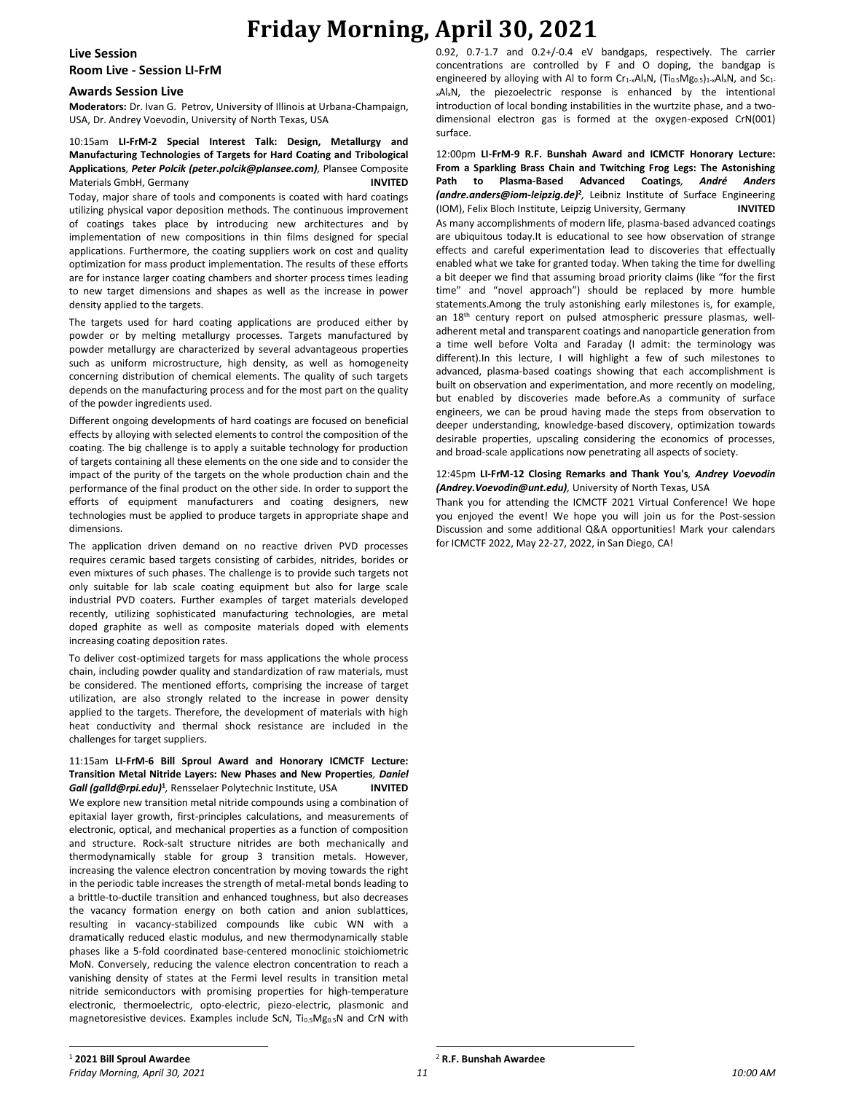# **Friday Morning, April 30, 2021**

**Live Session**

**Room Live - Session LI-FrM**

### **Awards Session Live**

**Moderators:** Dr. Ivan G. Petrov, University of Illinois at Urbana-Champaign, USA, Dr. Andrey Voevodin, University of North Texas, USA

### 10:15am **LI-FrM-2 Special Interest Talk: Design, Metallurgy and Manufacturing Technologies of Targets for Hard Coating and Tribological Applications***, Peter Polcik (peter.polcik@plansee.com),* Plansee Composite Materials GmbH, Germany **INVITED**

Today, major share of tools and components is coated with hard coatings utilizing physical vapor deposition methods. The continuous improvement of coatings takes place by introducing new architectures and by implementation of new compositions in thin films designed for special applications. Furthermore, the coating suppliers work on cost and quality optimization for mass product implementation. The results of these efforts are for instance larger coating chambers and shorter process times leading to new target dimensions and shapes as well as the increase in power density applied to the targets.

The targets used for hard coating applications are produced either by powder or by melting metallurgy processes. Targets manufactured by powder metallurgy are characterized by several advantageous properties such as uniform microstructure, high density, as well as homogeneity concerning distribution of chemical elements. The quality of such targets depends on the manufacturing process and for the most part on the quality of the powder ingredients used.

Different ongoing developments of hard coatings are focused on beneficial effects by alloying with selected elements to control the composition of the coating. The big challenge is to apply a suitable technology for production of targets containing all these elements on the one side and to consider the impact of the purity of the targets on the whole production chain and the performance of the final product on the other side. In order to support the efforts of equipment manufacturers and coating designers, new technologies must be applied to produce targets in appropriate shape and dimensions.

The application driven demand on no reactive driven PVD processes requires ceramic based targets consisting of carbides, nitrides, borides or even mixtures of such phases. The challenge is to provide such targets not only suitable for lab scale coating equipment but also for large scale industrial PVD coaters. Further examples of target materials developed recently, utilizing sophisticated manufacturing technologies, are metal doped graphite as well as composite materials doped with elements increasing coating deposition rates.

To deliver cost-optimized targets for mass applications the whole process chain, including powder quality and standardization of raw materials, must be considered. The mentioned efforts, comprising the increase of target utilization, are also strongly related to the increase in power density applied to the targets. Therefore, the development of materials with high heat conductivity and thermal shock resistance are included in the challenges for target suppliers.

11:15am **LI-FrM-6 Bill Sproul Award and Honorary ICMCTF Lecture: Transition Metal Nitride Layers: New Phases and New Properties***, Daniel*  Gall (galld@rpi.edu)<sup>1</sup>, Rensselaer Polytechnic Institute, USA **INVITED** We explore new transition metal nitride compounds using a combination of epitaxial layer growth, first-principles calculations, and measurements of electronic, optical, and mechanical properties as a function of composition and structure. Rock-salt structure nitrides are both mechanically and thermodynamically stable for group 3 transition metals. However, increasing the valence electron concentration by moving towards the right in the periodic table increases the strength of metal-metal bonds leading to a brittle-to-ductile transition and enhanced toughness, but also decreases the vacancy formation energy on both cation and anion sublattices, resulting in vacancy-stabilized compounds like cubic WN with a dramatically reduced elastic modulus, and new thermodynamically stable phases like a 5-fold coordinated base-centered monoclinic stoichiometric MoN. Conversely, reducing the valence electron concentration to reach a vanishing density of states at the Fermi level results in transition metal nitride semiconductors with promising properties for high-temperature electronic, thermoelectric, opto-electric, piezo-electric, plasmonic and magnetoresistive devices. Examples include ScN, Ti<sub>0.5</sub>Mg<sub>0.5</sub>N and CrN with 0.92, 0.7-1.7 and 0.2+/-0.4 eV bandgaps, respectively. The carrier concentrations are controlled by F and O doping, the bandgap is engineered by alloying with Al to form  $Cr_1\times Al_xN$ ,  $(Ti_{0.5}Mg_{0.5})_1\times Al_xN$ , and  $Sc_1$ . <sub>x</sub>Al<sub>x</sub>N, the piezoelectric response is enhanced by the intentional introduction of local bonding instabilities in the wurtzite phase, and a twodimensional electron gas is formed at the oxygen-exposed CrN(001) surface.

12:00pm **LI-FrM-9 R.F. Bunshah Award and ICMCTF Honorary Lecture: From a Sparkling Brass Chain and Twitching Frog Legs: The Astonishing Path to Plasma-Based Advanced Coatings***, André Anders (andre.anders@iom-leipzig.de)***<sup>2</sup>** *,* Leibniz Institute of Surface Engineering (IOM), Felix Bloch Institute, Leipzig University, Germany **INVITED** As many accomplishments of modern life, plasma-based advanced coatings are ubiquitous today.It is educational to see how observation of strange effects and careful experimentation lead to discoveries that effectually enabled what we take for granted today. When taking the time for dwelling a bit deeper we find that assuming broad priority claims (like "for the first time" and "novel approach") should be replaced by more humble statements.Among the truly astonishing early milestones is, for example, an 18<sup>th</sup> century report on pulsed atmospheric pressure plasmas, welladherent metal and transparent coatings and nanoparticle generation from a time well before Volta and Faraday (I admit: the terminology was different).In this lecture, I will highlight a few of such milestones to advanced, plasma-based coatings showing that each accomplishment is built on observation and experimentation, and more recently on modeling, but enabled by discoveries made before.As a community of surface engineers, we can be proud having made the steps from observation to deeper understanding, knowledge-based discovery, optimization towards desirable properties, upscaling considering the economics of processes, and broad-scale applications now penetrating all aspects of society.

#### 12:45pm **LI-FrM-12 Closing Remarks and Thank You's***, Andrey Voevodin (Andrey.Voevodin@unt.edu),* University of North Texas, USA

Thank you for attending the ICMCTF 2021 Virtual Conference! We hope you enjoyed the event! We hope you will join us for the Post-session Discussion and some additional Q&A opportunities! Mark your calendars for ICMCTF 2022, May 22-27, 2022, in San Diego, CA!